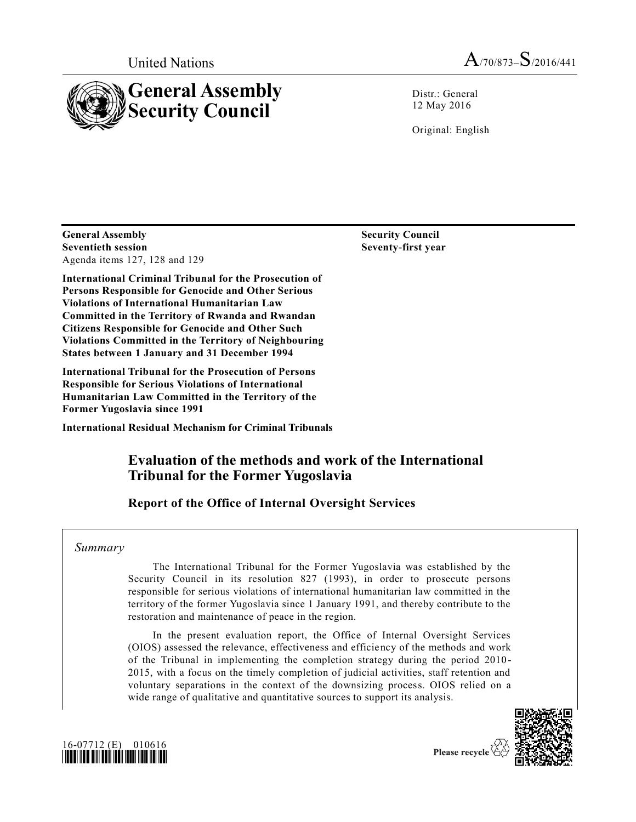

Distr.: General 12 May 2016

Original: English

**General Assembly Seventieth session** Agenda items 127, 128 and 129

**International Criminal Tribunal for the Prosecution of Persons Responsible for Genocide and Other Serious Violations of International Humanitarian Law Committed in the Territory of Rwanda and Rwandan Citizens Responsible for Genocide and Other Such Violations Committed in the Territory of Neighbouring States between 1 January and 31 December 1994** 

**International Tribunal for the Prosecution of Persons Responsible for Serious Violations of International Humanitarian Law Committed in the Territory of the Former Yugoslavia since 1991** 

**International Residual Mechanism for Criminal Tribunals**

# **Evaluation of the methods and work of the International Tribunal for the Former Yugoslavia**

# **Report of the Office of Internal Oversight Services**

## *Summary*

The International Tribunal for the Former Yugoslavia was established by the Security Council in its resolution 827 (1993), in order to prosecute persons responsible for serious violations of international humanitarian law committed in the territory of the former Yugoslavia since 1 January 1991, and thereby contribute to the restoration and maintenance of peace in the region.

In the present evaluation report, the Office of Internal Oversight Services (OIOS) assessed the relevance, effectiveness and efficiency of the methods and work of the Tribunal in implementing the completion strategy during the period 2010 - 2015, with a focus on the timely completion of judicial activities, staff retention and voluntary separations in the context of the downsizing process. OIOS relied on a wide range of qualitative and quantitative sources to support its analysis.





Please recycle

**Security Council Seventy-first year**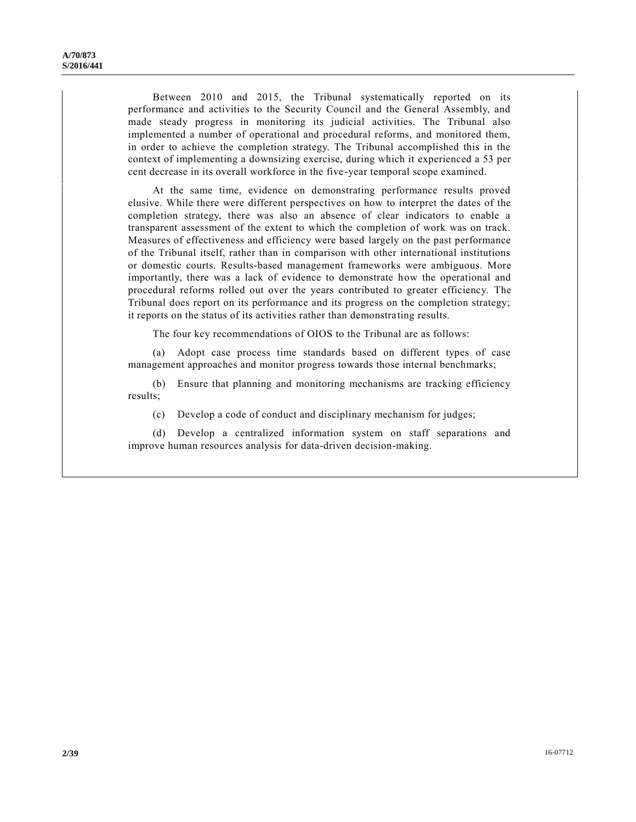Between 2010 and 2015, the Tribunal systematically reported on its performance and activities to the Security Council and the General Assembly, and made steady progress in monitoring its judicial activities. The Tribunal also implemented a number of operational and procedural reforms, and monitored them, in order to achieve the completion strategy. The Tribunal accomplished this in the context of implementing a downsizing exercise, during which it experienced a 53 per cent decrease in its overall workforce in the five-year temporal scope examined.

At the same time, evidence on demonstrating performance results proved elusive. While there were different perspectives on how to interpret the dates of the completion strategy, there was also an absence of clear indicators to enable a transparent assessment of the extent to which the completion of work was on track. Measures of effectiveness and efficiency were based largely on the past performance of the Tribunal itself, rather than in comparison with other international institutions or domestic courts. Results-based management frameworks were ambiguous. More importantly, there was a lack of evidence to demonstrate how the operational and procedural reforms rolled out over the years contributed to greater efficiency. The Tribunal does report on its performance and its progress on the completion strategy; it reports on the status of its activities rather than demonstra ting results.

The four key recommendations of OIOS to the Tribunal are as follows:

(a) Adopt case process time standards based on different types of case management approaches and monitor progress towards those internal benchmarks;

(b) Ensure that planning and monitoring mechanisms are tracking efficiency results;

(c) Develop a code of conduct and disciplinary mechanism for judges;

(d) Develop a centralized information system on staff separations and improve human resources analysis for data-driven decision-making.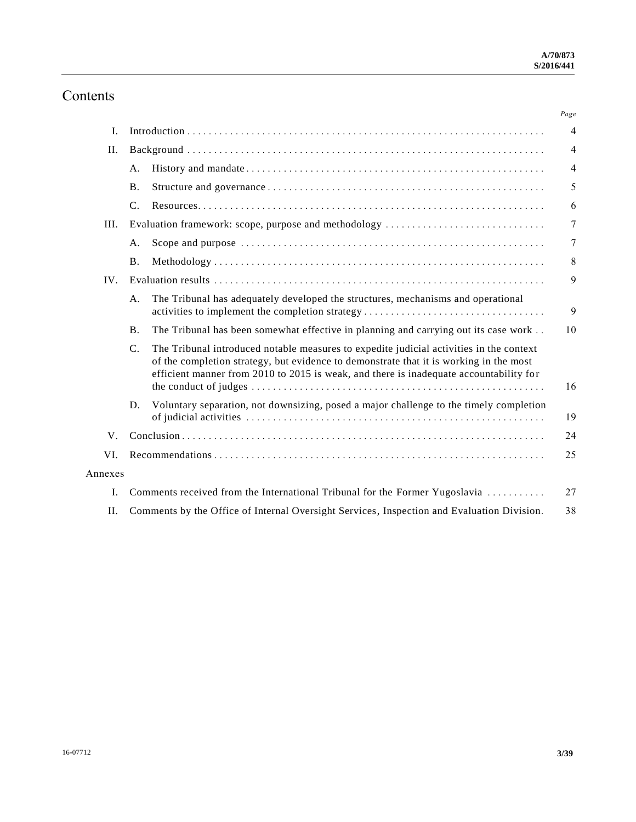# Contents

|         |                                                                                                                                                                                                                                                                                            | Page           |  |
|---------|--------------------------------------------------------------------------------------------------------------------------------------------------------------------------------------------------------------------------------------------------------------------------------------------|----------------|--|
| Ι.      |                                                                                                                                                                                                                                                                                            | $\overline{4}$ |  |
| II.     |                                                                                                                                                                                                                                                                                            | $\overline{4}$ |  |
|         | A.                                                                                                                                                                                                                                                                                         | $\overline{4}$ |  |
|         | <b>B.</b>                                                                                                                                                                                                                                                                                  | 5              |  |
|         | C.                                                                                                                                                                                                                                                                                         | 6              |  |
| III.    | Evaluation framework: scope, purpose and methodology                                                                                                                                                                                                                                       | 7              |  |
|         | A.                                                                                                                                                                                                                                                                                         | 7              |  |
|         | <b>B</b> .                                                                                                                                                                                                                                                                                 | 8              |  |
| IV.     |                                                                                                                                                                                                                                                                                            | 9              |  |
|         | The Tribunal has adequately developed the structures, mechanisms and operational<br>A.<br>activities to implement the completion strategy                                                                                                                                                  | 9              |  |
|         | The Tribunal has been somewhat effective in planning and carrying out its case work<br><b>B.</b>                                                                                                                                                                                           | 10             |  |
|         | $C_{\cdot}$<br>The Tribunal introduced notable measures to expedite judicial activities in the context<br>of the completion strategy, but evidence to demonstrate that it is working in the most<br>efficient manner from 2010 to 2015 is weak, and there is inadequate accountability for | 16             |  |
|         | Voluntary separation, not downsizing, posed a major challenge to the timely completion<br>D.                                                                                                                                                                                               | 19             |  |
| V.      |                                                                                                                                                                                                                                                                                            | 24             |  |
| VI.     |                                                                                                                                                                                                                                                                                            |                |  |
| Annexes |                                                                                                                                                                                                                                                                                            |                |  |
| L.      | Comments received from the International Tribunal for the Former Yugoslavia<br>27                                                                                                                                                                                                          |                |  |
| II.     | Comments by the Office of Internal Oversight Services, Inspection and Evaluation Division.<br>38                                                                                                                                                                                           |                |  |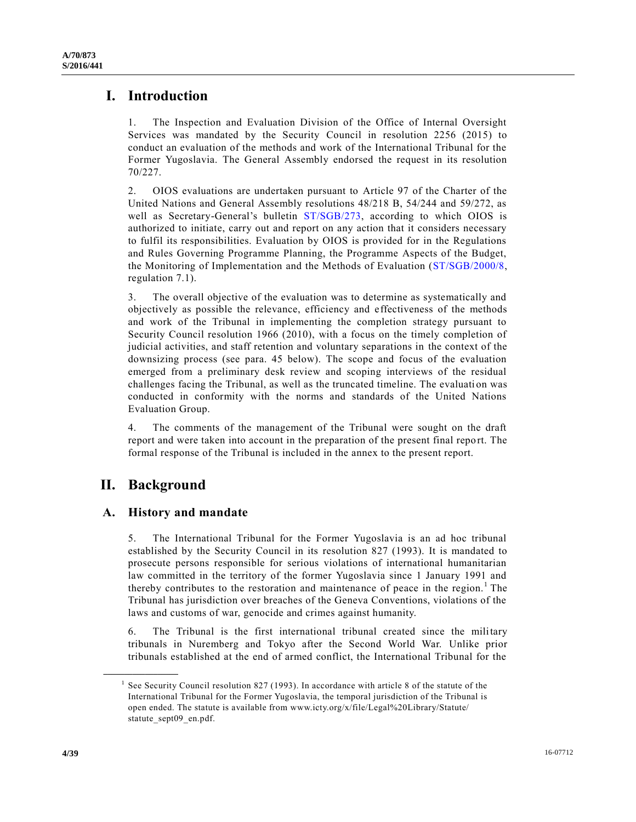# **I. Introduction**

1. The Inspection and Evaluation Division of the Office of Internal Oversight Services was mandated by the Security Council in resolution 2256 (2015) to conduct an evaluation of the methods and work of the International Tribunal for the Former Yugoslavia. The General Assembly endorsed the request in its resolution 70/227.

2. OIOS evaluations are undertaken pursuant to Article 97 of the Charter of the United Nations and General Assembly resolutions 48/218 B, 54/244 and 59/272, as well as Secretary-General's bulletin [ST/SGB/273,](http://undocs.org/ST/SGB/273) according to which OIOS is authorized to initiate, carry out and report on any action that it considers necessary to fulfil its responsibilities. Evaluation by OIOS is provided for in the Regulations and Rules Governing Programme Planning, the Programme Aspects of the Budget, the Monitoring of Implementation and the Methods of Evaluation [\(ST/SGB/2000/8,](http://undocs.org/ST/SGB/2000/8) regulation 7.1).

3. The overall objective of the evaluation was to determine as systematically and objectively as possible the relevance, efficiency and effectiveness of the methods and work of the Tribunal in implementing the completion strategy pursuant to Security Council resolution 1966 (2010), with a focus on the timely completion of judicial activities, and staff retention and voluntary separations in the context of the downsizing process (see para. 45 below). The scope and focus of the evaluation emerged from a preliminary desk review and scoping interviews of the residual challenges facing the Tribunal, as well as the truncated timeline. The evaluation was conducted in conformity with the norms and standards of the United Nations Evaluation Group.

4. The comments of the management of the Tribunal were sought on the draft report and were taken into account in the preparation of the present final report. The formal response of the Tribunal is included in the annex to the present report.

# **II. Background**

**\_\_\_\_\_\_\_\_\_\_\_\_\_\_\_\_\_\_**

# **A. History and mandate**

5. The International Tribunal for the Former Yugoslavia is an ad hoc tribunal established by the Security Council in its resolution 827 (1993). It is mandated to prosecute persons responsible for serious violations of international humanitarian law committed in the territory of the former Yugoslavia since 1 January 1991 and thereby contributes to the restoration and maintenance of peace in the region.<sup>1</sup> The Tribunal has jurisdiction over breaches of the Geneva Conventions, violations of the laws and customs of war, genocide and crimes against humanity.

6. The Tribunal is the first international tribunal created since the military tribunals in Nuremberg and Tokyo after the Second World War. Unlike prior tribunals established at the end of armed conflict, the International Tribunal for the

<sup>1</sup> See Security Council resolution 827 (1993). In accordance with article 8 of the statute of the International Tribunal for the Former Yugoslavia, the temporal jurisdiction of the Tribunal is open ended. The statute is available from www.icty.org/x/file/Legal%20Library/Statute/ statute\_sept09\_en.pdf.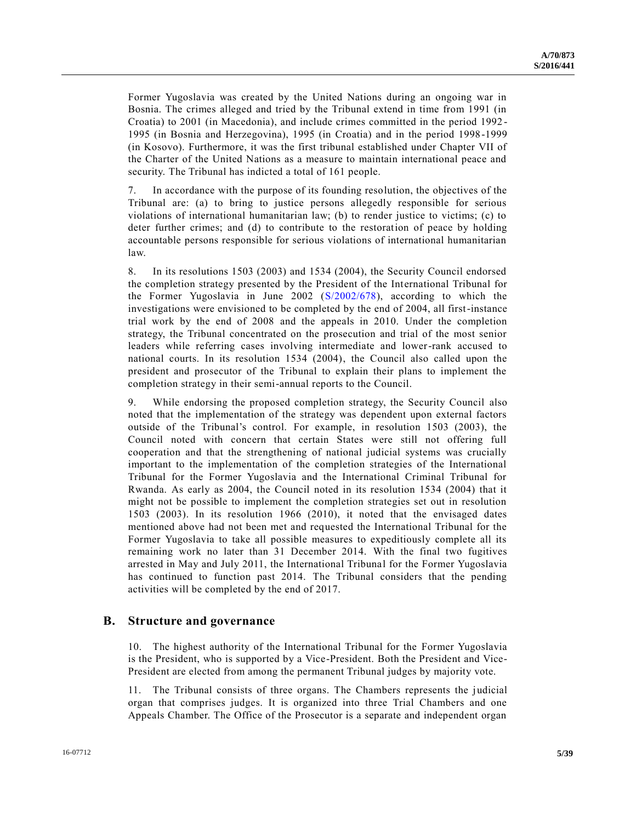Former Yugoslavia was created by the United Nations during an ongoing war in Bosnia. The crimes alleged and tried by the Tribunal extend in time from 1991 (in Croatia) to 2001 (in Macedonia), and include crimes committed in the period 1992 - 1995 (in Bosnia and Herzegovina), 1995 (in Croatia) and in the period 1998-1999 (in Kosovo). Furthermore, it was the first tribunal established under Chapter VII of the Charter of the United Nations as a measure to maintain international peace and security. The Tribunal has indicted a total of 161 people.

7. In accordance with the purpose of its founding resolution, the objectives of the Tribunal are: (a) to bring to justice persons allegedly responsible for serious violations of international humanitarian law; (b) to render justice to victims; (c) to deter further crimes; and (d) to contribute to the restoration of peace by holding accountable persons responsible for serious violations of international humanitarian law.

8. In its resolutions 1503 (2003) and 1534 (2004), the Security Council endorsed the completion strategy presented by the President of the International Tribunal for the Former Yugoslavia in June 2002 [\(S/2002/678\)](http://undocs.org/S/2002/678), according to which the investigations were envisioned to be completed by the end of 2004, all first-instance trial work by the end of 2008 and the appeals in 2010. Under the completion strategy, the Tribunal concentrated on the prosecution and trial of the most senior leaders while referring cases involving intermediate and lower-rank accused to national courts. In its resolution 1534 (2004), the Council also called upon the president and prosecutor of the Tribunal to explain their plans to implement the completion strategy in their semi-annual reports to the Council.

9. While endorsing the proposed completion strategy, the Security Council also noted that the implementation of the strategy was dependent upon external factors outside of the Tribunal's control. For example, in resolution 1503 (2003), the Council noted with concern that certain States were still not offering full cooperation and that the strengthening of national judicial systems was crucially important to the implementation of the completion strategies of the International Tribunal for the Former Yugoslavia and the International Criminal Tribunal for Rwanda. As early as 2004, the Council noted in its resolution 1534 (2004) that it might not be possible to implement the completion strategies set out in resolution 1503 (2003). In its resolution 1966 (2010), it noted that the envisaged dates mentioned above had not been met and requested the International Tribunal for the Former Yugoslavia to take all possible measures to expeditiously complete all its remaining work no later than 31 December 2014. With the final two fugitives arrested in May and July 2011, the International Tribunal for the Former Yugoslavia has continued to function past 2014. The Tribunal considers that the pending activities will be completed by the end of 2017.

## **B. Structure and governance**

10. The highest authority of the International Tribunal for the Former Yugoslavia is the President, who is supported by a Vice-President. Both the President and Vice-President are elected from among the permanent Tribunal judges by majority vote.

11. The Tribunal consists of three organs. The Chambers represents the judicial organ that comprises judges. It is organized into three Trial Chambers and one Appeals Chamber. The Office of the Prosecutor is a separate and independent organ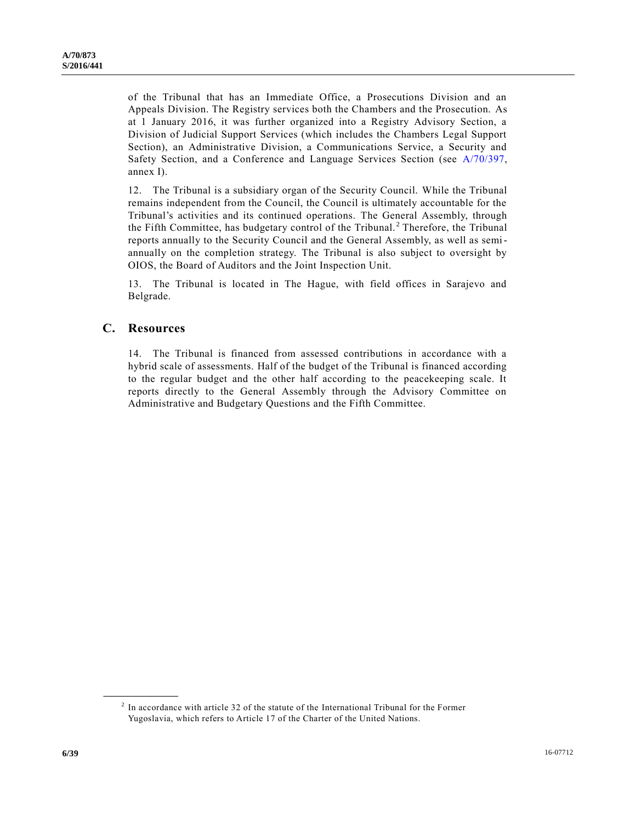of the Tribunal that has an Immediate Office, a Prosecutions Division and an Appeals Division. The Registry services both the Chambers and the Prosecution. As at 1 January 2016, it was further organized into a Registry Advisory Section, a Division of Judicial Support Services (which includes the Chambers Legal Support Section), an Administrative Division, a Communications Service, a Security and Safety Section, and a Conference and Language Services Section (see [A/70/397,](http://undocs.org/A/70/397) annex I).

12. The Tribunal is a subsidiary organ of the Security Council. While the Tribunal remains independent from the Council, the Council is ultimately accountable for the Tribunal's activities and its continued operations. The General Assembly, through the Fifth Committee, has budgetary control of the Tribunal.<sup>2</sup> Therefore, the Tribunal reports annually to the Security Council and the General Assembly, as well as semiannually on the completion strategy. The Tribunal is also subject to oversight by OIOS, the Board of Auditors and the Joint Inspection Unit.

13. The Tribunal is located in The Hague, with field offices in Sarajevo and Belgrade.

## **C. Resources**

**\_\_\_\_\_\_\_\_\_\_\_\_\_\_\_\_\_\_**

14. The Tribunal is financed from assessed contributions in accordance with a hybrid scale of assessments. Half of the budget of the Tribunal is financed according to the regular budget and the other half according to the peacekeeping scale. It reports directly to the General Assembly through the Advisory Committee on Administrative and Budgetary Questions and the Fifth Committee.

 $2<sup>2</sup>$  In accordance with article 32 of the statute of the International Tribunal for the Former Yugoslavia, which refers to Article 17 of the Charter of the United Nations.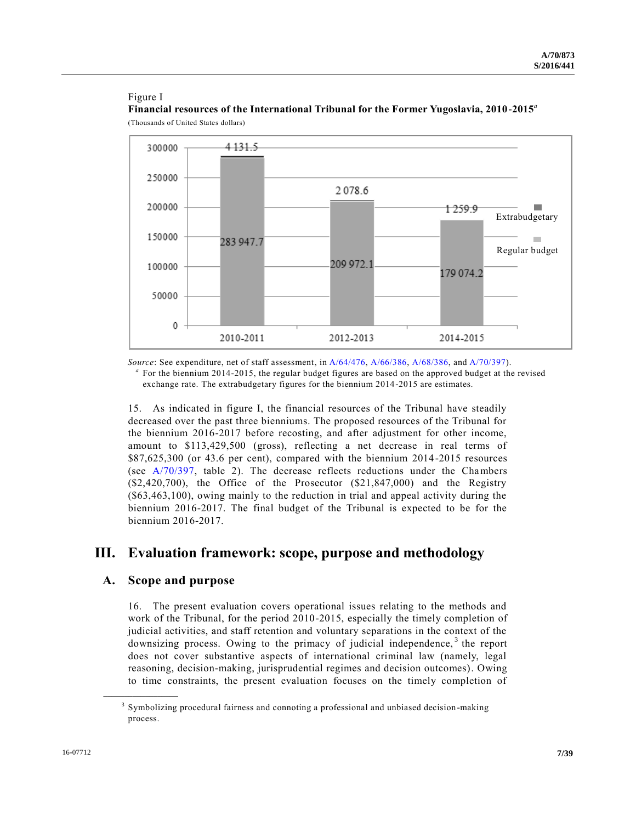### Figure I

**Financial resources of the International Tribunal for the Former Yugoslavia, 2010-2015***<sup>a</sup>* (Thousands of United States dollars)



*Source*: See expenditure, net of staff assessment, in [A/64/476,](http://undocs.org/A/64/476) [A/66/386,](http://undocs.org/A/66/386) [A/68/386,](http://undocs.org/A/68/386) and [A/70/397\)](http://undocs.org/A/70/397). <sup>a</sup> For the biennium 2014-2015, the regular budget figures are based on the approved budget at the revised exchange rate. The extrabudgetary figures for the biennium 2014-2015 are estimates.

15. As indicated in figure I, the financial resources of the Tribunal have steadily decreased over the past three bienniums. The proposed resources of the Tribunal for the biennium 2016-2017 before recosting, and after adjustment for other income, amount to \$113,429,500 (gross), reflecting a net decrease in real terms of \$87,625,300 (or 43.6 per cent), compared with the biennium 2014-2015 resources (see [A/70/397,](http://undocs.org/A/70/397) table 2). The decrease reflects reductions under the Chambers  $(\text{$}2,420,700)$ , the Office of the Prosecutor  $(\text{$}21,847,000)$  and the Registry (\$63,463,100), owing mainly to the reduction in trial and appeal activity during the biennium 2016-2017. The final budget of the Tribunal is expected to be for the biennium 2016-2017.

# **III. Evaluation framework: scope, purpose and methodology**

## **A. Scope and purpose**

**\_\_\_\_\_\_\_\_\_\_\_\_\_\_\_\_\_\_**

16. The present evaluation covers operational issues relating to the methods and work of the Tribunal, for the period 2010-2015, especially the timely completion of judicial activities, and staff retention and voluntary separations in the context of the downsizing process. Owing to the primacy of judicial independence,  $3$  the report does not cover substantive aspects of international criminal law (namely, legal reasoning, decision-making, jurisprudential regimes and decision outcomes). Owing to time constraints, the present evaluation focuses on the timely completion of

<sup>&</sup>lt;sup>3</sup> Symbolizing procedural fairness and connoting a professional and unbiased decision-making process.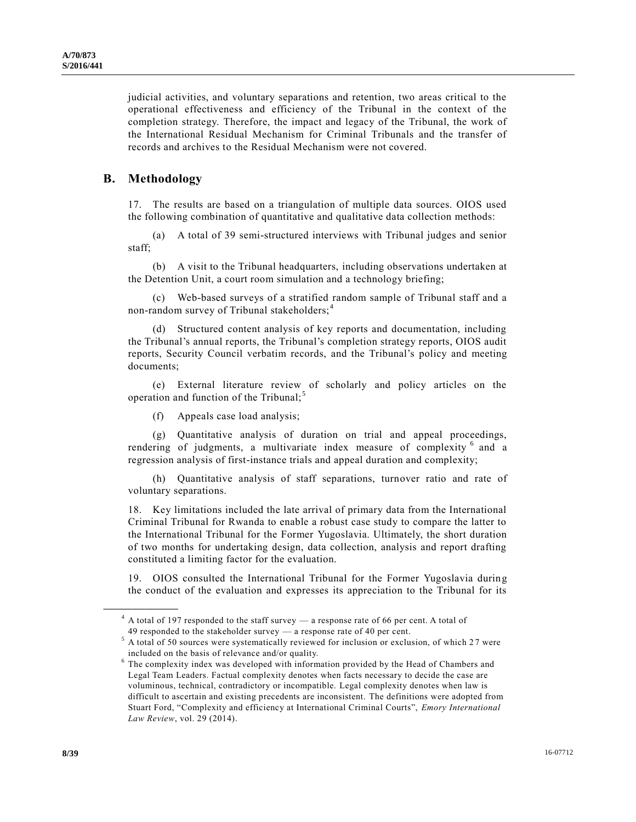judicial activities, and voluntary separations and retention, two areas critical to the operational effectiveness and efficiency of the Tribunal in the context of the completion strategy. Therefore, the impact and legacy of the Tribunal, the work of the International Residual Mechanism for Criminal Tribunals and the transfer of records and archives to the Residual Mechanism were not covered.

## **B. Methodology**

**\_\_\_\_\_\_\_\_\_\_\_\_\_\_\_\_\_\_**

17. The results are based on a triangulation of multiple data sources. OIOS used the following combination of quantitative and qualitative data collection methods:

(a) A total of 39 semi-structured interviews with Tribunal judges and senior staff;

(b) A visit to the Tribunal headquarters, including observations undertaken at the Detention Unit, a court room simulation and a technology briefing;

(c) Web-based surveys of a stratified random sample of Tribunal staff and a non-random survey of Tribunal stakeholders;<sup>4</sup>

(d) Structured content analysis of key reports and documentation, including the Tribunal's annual reports, the Tribunal's completion strategy reports, OIOS audit reports, Security Council verbatim records, and the Tribunal's policy and meeting documents;

(e) External literature review of scholarly and policy articles on the operation and function of the Tribunal; <sup>5</sup>

(f) Appeals case load analysis;

(g) Quantitative analysis of duration on trial and appeal proceedings, rendering of judgments, a multivariate index measure of complexity <sup>6</sup> and a regression analysis of first-instance trials and appeal duration and complexity;

(h) Quantitative analysis of staff separations, turnover ratio and rate of voluntary separations.

18. Key limitations included the late arrival of primary data from the International Criminal Tribunal for Rwanda to enable a robust case study to compare the latter to the International Tribunal for the Former Yugoslavia. Ultimately, the short duration of two months for undertaking design, data collection, analysis and report drafting constituted a limiting factor for the evaluation.

19. OIOS consulted the International Tribunal for the Former Yugoslavia during the conduct of the evaluation and expresses its appreciation to the Tribunal for its

<sup>&</sup>lt;sup>4</sup> A total of 197 responded to the staff survey — a response rate of 66 per cent. A total of 49 responded to the stakeholder survey — a response rate of 40 per cent.

 $5$  A total of 50 sources were systematically reviewed for inclusion or exclusion, of which 27 were included on the basis of relevance and/or quality.

<sup>&</sup>lt;sup>6</sup> The complexity index was developed with information provided by the Head of Chambers and Legal Team Leaders. Factual complexity denotes when facts necessary to decide the case are voluminous, technical, contradictory or incompatible. Legal complexity denotes when law is difficult to ascertain and existing precedents are inconsistent. The definitions were adopted from Stuart Ford, "Complexity and efficiency at International Criminal Courts", *Emory International Law Review*, vol. 29 (2014).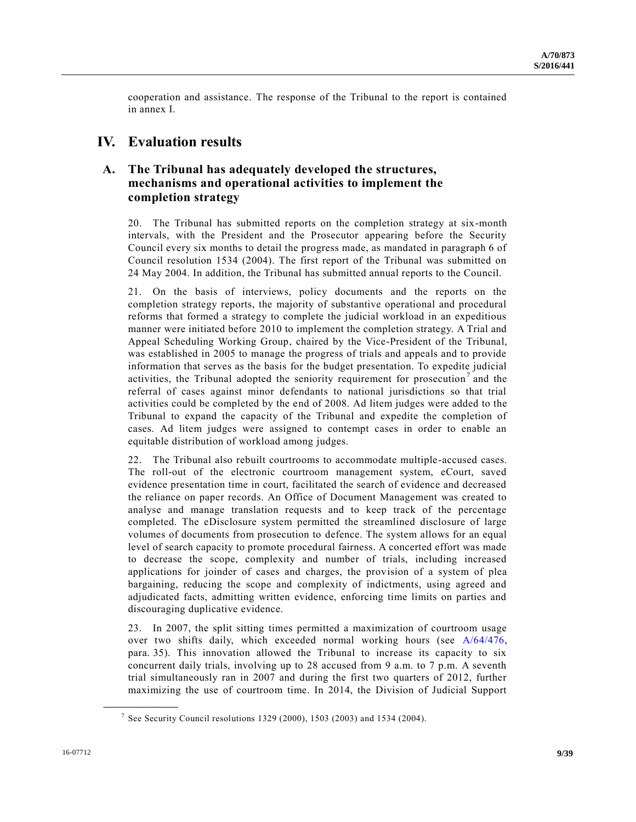cooperation and assistance. The response of the Tribunal to the report is contained in annex I.

# **IV. Evaluation results**

# **A. The Tribunal has adequately developed the structures, mechanisms and operational activities to implement the completion strategy**

20. The Tribunal has submitted reports on the completion strategy at six-month intervals, with the President and the Prosecutor appearing before the Security Council every six months to detail the progress made, as mandated in paragraph 6 of Council resolution 1534 (2004). The first report of the Tribunal was submitted on 24 May 2004. In addition, the Tribunal has submitted annual reports to the Council.

21. On the basis of interviews, policy documents and the reports on the completion strategy reports, the majority of substantive operational and procedural reforms that formed a strategy to complete the judicial workload in an expeditious manner were initiated before 2010 to implement the completion strategy. A Trial and Appeal Scheduling Working Group, chaired by the Vice-President of the Tribunal, was established in 2005 to manage the progress of trials and appeals and to provide information that serves as the basis for the budget presentation. To expedite judicial activities, the Tribunal adopted the seniority requirement for prosecution<sup>7</sup> and the referral of cases against minor defendants to national jurisdictions so that trial activities could be completed by the end of 2008. Ad litem judges were added to the Tribunal to expand the capacity of the Tribunal and expedite the completion of cases. Ad litem judges were assigned to contempt cases in order to enable an equitable distribution of workload among judges.

22. The Tribunal also rebuilt courtrooms to accommodate multiple -accused cases. The roll-out of the electronic courtroom management system, eCourt, saved evidence presentation time in court, facilitated the search of evidence and decreased the reliance on paper records. An Office of Document Management was created to analyse and manage translation requests and to keep track of the percentage completed. The eDisclosure system permitted the streamlined disclosure of large volumes of documents from prosecution to defence. The system allows for an equal level of search capacity to promote procedural fairness. A concerted effort was made to decrease the scope, complexity and number of trials, including increased applications for joinder of cases and charges, the provision of a system of plea bargaining, reducing the scope and complexity of indictments, using agreed and adjudicated facts, admitting written evidence, enforcing time limits on parties and discouraging duplicative evidence.

23. In 2007, the split sitting times permitted a maximization of courtroom usage over two shifts daily, which exceeded normal working hours (see [A/64/476,](http://undocs.org/A/64/476) para. 35). This innovation allowed the Tribunal to increase its capacity to six concurrent daily trials, involving up to 28 accused from 9 a.m. to 7 p.m. A seventh trial simultaneously ran in 2007 and during the first two quarters of 2012, further maximizing the use of courtroom time. In 2014, the Division of Judicial Support

<sup>&</sup>lt;sup>7</sup> See Security Council resolutions 1329 (2000), 1503 (2003) and 1534 (2004).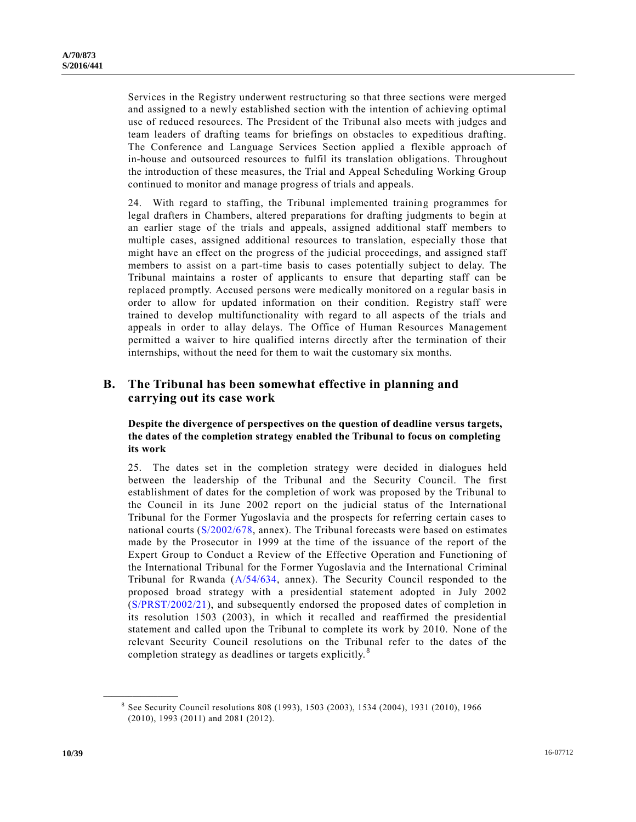Services in the Registry underwent restructuring so that three sections were merged and assigned to a newly established section with the intention of achieving optimal use of reduced resources. The President of the Tribunal also meets with judges and team leaders of drafting teams for briefings on obstacles to expeditious drafting. The Conference and Language Services Section applied a flexible approach of in-house and outsourced resources to fulfil its translation obligations. Throughout the introduction of these measures, the Trial and Appeal Scheduling Working Group continued to monitor and manage progress of trials and appeals.

24. With regard to staffing, the Tribunal implemented training programmes for legal drafters in Chambers, altered preparations for drafting judgments to begin at an earlier stage of the trials and appeals, assigned additional staff members to multiple cases, assigned additional resources to translation, especially those that might have an effect on the progress of the judicial proceedings, and assigned staff members to assist on a part-time basis to cases potentially subject to delay. The Tribunal maintains a roster of applicants to ensure that departing staff can be replaced promptly. Accused persons were medically monitored on a regular basis in order to allow for updated information on their condition. Registry staff were trained to develop multifunctionality with regard to all aspects of the trials and appeals in order to allay delays. The Office of Human Resources Management permitted a waiver to hire qualified interns directly after the termination of their internships, without the need for them to wait the customary six months.

## **B. The Tribunal has been somewhat effective in planning and carrying out its case work**

### **Despite the divergence of perspectives on the question of deadline versus targets, the dates of the completion strategy enabled the Tribunal to focus on completing its work**

25. The dates set in the completion strategy were decided in dialogues held between the leadership of the Tribunal and the Security Council. The first establishment of dates for the completion of work was proposed by the Tribunal to the Council in its June 2002 report on the judicial status of the International Tribunal for the Former Yugoslavia and the prospects for referring certain cases to national courts [\(S/2002/678,](http://undocs.org/S/2002/678) annex). The Tribunal forecasts were based on estimates made by the Prosecutor in 1999 at the time of the issuance of the report of the Expert Group to Conduct a Review of the Effective Operation and Functioning of the International Tribunal for the Former Yugoslavia and the International Criminal Tribunal for Rwanda [\(A/54/634,](http://undocs.org/A/54/634) annex). The Security Council responded to the proposed broad strategy with a presidential statement adopted in July 2002 [\(S/PRST/2002/21\)](http://undocs.org/S/PRST/2002/21), and subsequently endorsed the proposed dates of completion in its resolution 1503 (2003), in which it recalled and reaffirmed the presidential statement and called upon the Tribunal to complete its work by 2010. None of the relevant Security Council resolutions on the Tribunal refer to the dates of the completion strategy as deadlines or targets explicitly.<sup>8</sup>

<sup>&</sup>lt;sup>8</sup> See Security Council resolutions 808 (1993), 1503 (2003), 1534 (2004), 1931 (2010), 1966 (2010), 1993 (2011) and 2081 (2012).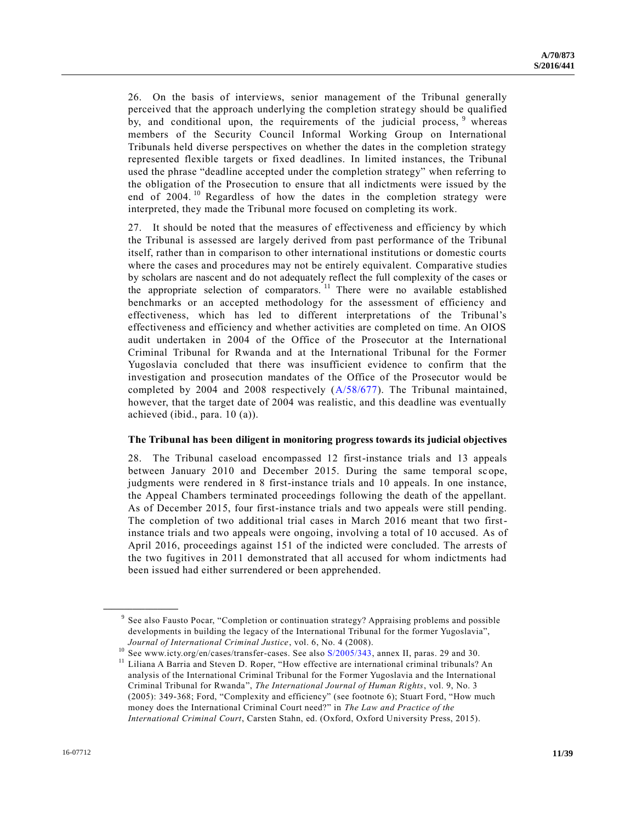26. On the basis of interviews, senior management of the Tribunal generally perceived that the approach underlying the completion strategy should be qualified by, and conditional upon, the requirements of the judicial process, <sup>9</sup> whereas members of the Security Council Informal Working Group on International Tribunals held diverse perspectives on whether the dates in the completion strategy represented flexible targets or fixed deadlines. In limited instances, the Tribunal used the phrase "deadline accepted under the completion strategy" when referring to the obligation of the Prosecution to ensure that all indictments were issued by the end of 2004.<sup>10</sup> Regardless of how the dates in the completion strategy were interpreted, they made the Tribunal more focused on completing its work.

27. It should be noted that the measures of effectiveness and efficiency by which the Tribunal is assessed are largely derived from past performance of the Tribunal itself, rather than in comparison to other international institutions or domestic courts where the cases and procedures may not be entirely equivalent. Comparative studies by scholars are nascent and do not adequately reflect the full complexity of the cases or the appropriate selection of comparators.<sup>11</sup> There were no available established benchmarks or an accepted methodology for the assessment of efficiency and effectiveness, which has led to different interpretations of the Tribunal's effectiveness and efficiency and whether activities are completed on time. An OIOS audit undertaken in 2004 of the Office of the Prosecutor at the International Criminal Tribunal for Rwanda and at the International Tribunal for the Former Yugoslavia concluded that there was insufficient evidence to confirm that the investigation and prosecution mandates of the Office of the Prosecutor would be completed by 2004 and 2008 respectively [\(A/58/677\)](http://undocs.org/A/58/677). The Tribunal maintained, however, that the target date of 2004 was realistic, and this deadline was eventually achieved (ibid., para. 10 (a)).

#### **The Tribunal has been diligent in monitoring progress towards its judicial objectives**

28. The Tribunal caseload encompassed 12 first-instance trials and 13 appeals between January 2010 and December 2015. During the same temporal scope, judgments were rendered in 8 first-instance trials and 10 appeals. In one instance, the Appeal Chambers terminated proceedings following the death of the appellant. As of December 2015, four first-instance trials and two appeals were still pending. The completion of two additional trial cases in March 2016 meant that two firstinstance trials and two appeals were ongoing, involving a total of 10 accused. As of April 2016, proceedings against 151 of the indicted were concluded. The arrests of the two fugitives in 2011 demonstrated that all accused for whom indictments had been issued had either surrendered or been apprehended.

<sup>9</sup> See also Fausto Pocar, "Completion or continuation strategy? Appraising problems and possible developments in building the legacy of the International Tribunal for the former Yugoslavia", *Journal of International Criminal Justice*, vol. 6, No. 4 (2008).

<sup>&</sup>lt;sup>10</sup> See www.icty.org/en/cases/transfer-cases. See also [S/2005/343,](http://undocs.org/S/2005/343) annex II, paras. 29 and 30.

<sup>&</sup>lt;sup>11</sup> Liliana A Barria and Steven D. Roper, "How effective are international criminal tribunals? An analysis of the International Criminal Tribunal for the Former Yugoslavia and the International Criminal Tribunal for Rwanda", *The International Journal of Human Rights*, vol. 9, No. 3 (2005): 349-368; Ford, "Complexity and efficiency" (see footnote 6); Stuart Ford, "How much money does the International Criminal Court need?" in *The Law and Practice of the International Criminal Court*, Carsten Stahn, ed. (Oxford, Oxford University Press, 2015).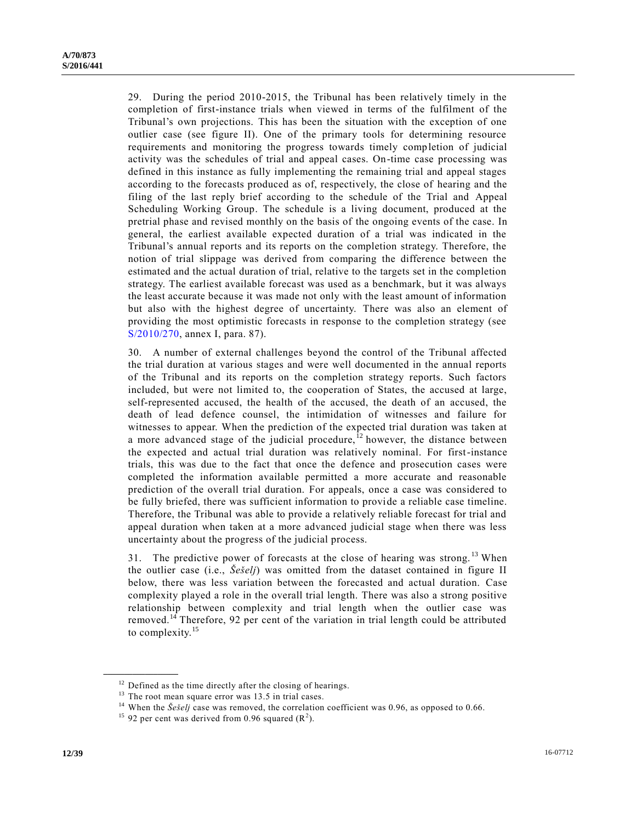29. During the period 2010-2015, the Tribunal has been relatively timely in the completion of first-instance trials when viewed in terms of the fulfilment of the Tribunal's own projections. This has been the situation with the exception of one outlier case (see figure II). One of the primary tools for determining resource requirements and monitoring the progress towards timely completion of judicial activity was the schedules of trial and appeal cases. On-time case processing was defined in this instance as fully implementing the remaining trial and appeal stages according to the forecasts produced as of, respectively, the close of hearing and the filing of the last reply brief according to the schedule of the Trial and Appeal Scheduling Working Group. The schedule is a living document, produced at the pretrial phase and revised monthly on the basis of the ongoing events of the case. In general, the earliest available expected duration of a trial was indicated in the Tribunal's annual reports and its reports on the completion strategy. Therefore, the notion of trial slippage was derived from comparing the difference between the estimated and the actual duration of trial, relative to the targets set in the completion strategy. The earliest available forecast was used as a benchmark, but it was always the least accurate because it was made not only with the least amount of information but also with the highest degree of uncertainty. There was also an element of providing the most optimistic forecasts in response to the completion strategy (see [S/2010/270,](http://undocs.org/S/2010/270) annex I, para. 87).

30. A number of external challenges beyond the control of the Tribunal affected the trial duration at various stages and were well documented in the annual reports of the Tribunal and its reports on the completion strategy reports. Such factors included, but were not limited to, the cooperation of States, the accused at large, self-represented accused, the health of the accused, the death of an accused, the death of lead defence counsel, the intimidation of witnesses and failure for witnesses to appear. When the prediction of the expected trial duration was taken at a more advanced stage of the judicial procedure,  $12$  however, the distance between the expected and actual trial duration was relatively nominal. For first-instance trials, this was due to the fact that once the defence and prosecution cases were completed the information available permitted a more accurate and reasonable prediction of the overall trial duration. For appeals, once a case was considered to be fully briefed, there was sufficient information to provide a reliable case timeline. Therefore, the Tribunal was able to provide a relatively reliable forecast for trial and appeal duration when taken at a more advanced judicial stage when there was less uncertainty about the progress of the judicial process.

31. The predictive power of forecasts at the close of hearing was strong. <sup>13</sup> When the outlier case (i.e., *Šešelj*) was omitted from the dataset contained in figure II below, there was less variation between the forecasted and actual duration. Case complexity played a role in the overall trial length. There was also a strong positive relationship between complexity and trial length when the outlier case was removed.<sup>14</sup> Therefore, 92 per cent of the variation in trial length could be attributed to complexity.<sup>15</sup>

<sup>&</sup>lt;sup>12</sup> Defined as the time directly after the closing of hearings.

 $13$  The root mean square error was 13.5 in trial cases.

<sup>&</sup>lt;sup>14</sup> When the *Šešelj* case was removed, the correlation coefficient was 0.96, as opposed to 0.66.

<sup>&</sup>lt;sup>15</sup> 92 per cent was derived from 0.96 squared  $(R<sup>2</sup>)$ .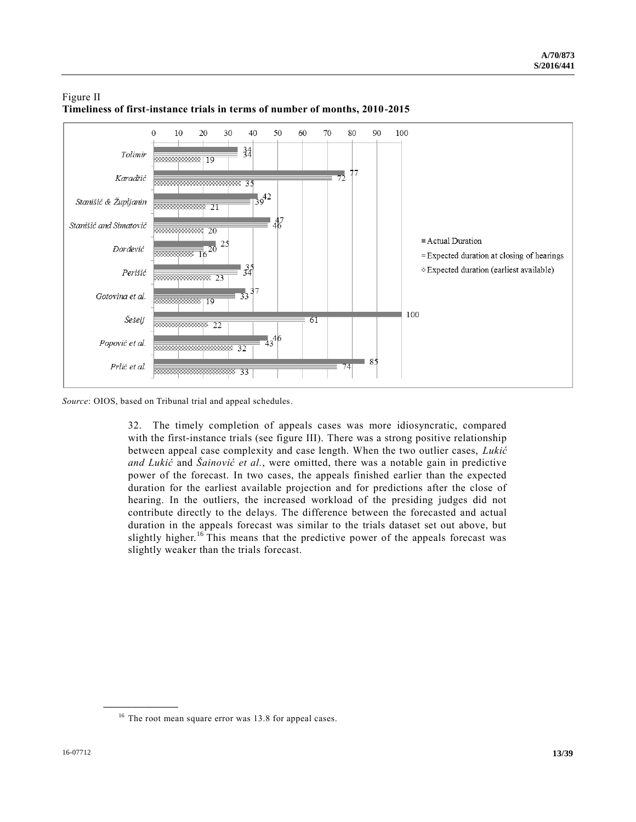

## Figure II **Timeliness of first-instance trials in terms of number of months, 2010-2015**

*Source*: OIOS, based on Tribunal trial and appeal schedules.

32. The timely completion of appeals cases was more idiosyncratic, compared with the first-instance trials (see figure III). There was a strong positive relationship between appeal case complexity and case length. When the two outlier cases, *Lukić and Lukić* and *Šainović et al.*, were omitted, there was a notable gain in predictive power of the forecast. In two cases, the appeals finished earlier than the expected duration for the earliest available projection and for predictions after the close of hearing. In the outliers, the increased workload of the presiding judges did not contribute directly to the delays. The difference between the forecasted and actual duration in the appeals forecast was similar to the trials dataset set out above, but slightly higher.<sup>16</sup> This means that the predictive power of the appeals forecast was slightly weaker than the trials forecast.

<sup>&</sup>lt;sup>16</sup> The root mean square error was 13.8 for appeal cases.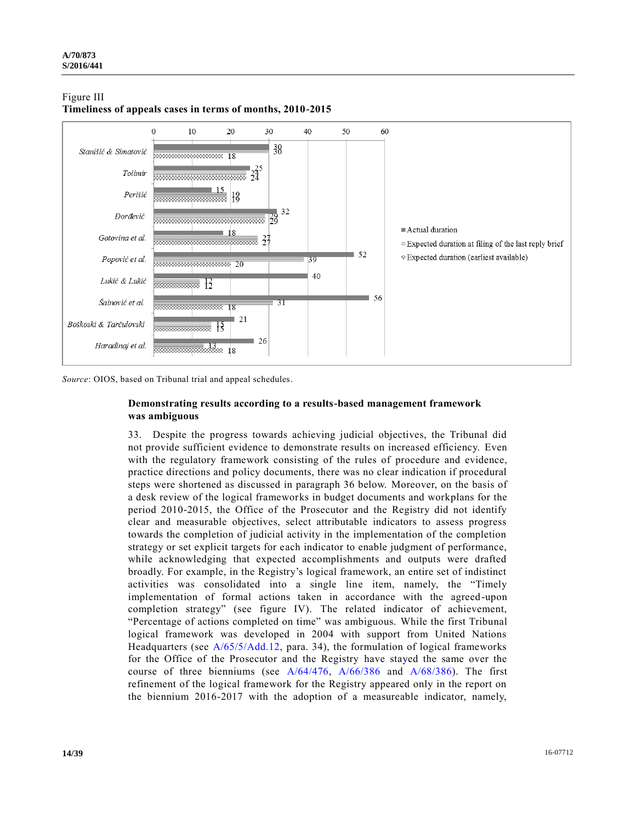

## Figure III **Timeliness of appeals cases in terms of months, 2010-2015**

*Source*: OIOS, based on Tribunal trial and appeal schedules.

### **Demonstrating results according to a results-based management framework was ambiguous**

33. Despite the progress towards achieving judicial objectives, the Tribunal did not provide sufficient evidence to demonstrate results on increased efficiency. Even with the regulatory framework consisting of the rules of procedure and evidence, practice directions and policy documents, there was no clear indication if procedural steps were shortened as discussed in paragraph 36 below. Moreover, on the basis of a desk review of the logical frameworks in budget documents and workplans for the period 2010-2015, the Office of the Prosecutor and the Registry did not identify clear and measurable objectives, select attributable indicators to assess progress towards the completion of judicial activity in the implementation of the completion strategy or set explicit targets for each indicator to enable judgment of performance, while acknowledging that expected accomplishments and outputs were drafted broadly. For example, in the Registry's logical framework, an entire set of indistinct activities was consolidated into a single line item, namely, the "Timely implementation of formal actions taken in accordance with the agreed-upon completion strategy" (see figure IV). The related indicator of achievement, "Percentage of actions completed on time" was ambiguous. While the first Tribunal logical framework was developed in 2004 with support from United Nations Headquarters (see [A/65/5/Add.12,](http://undocs.org/A/65/5/Add.12) para. 34), the formulation of logical frameworks for the Office of the Prosecutor and the Registry have stayed the same over the course of three bienniums (see [A/64/476,](http://undocs.org/A/64/476) [A/66/386](http://undocs.org/A/66/386) and [A/68/386\)](http://undocs.org/A/68/386). The first refinement of the logical framework for the Registry appeared only in the report on the biennium 2016-2017 with the adoption of a measureable indicator, namely,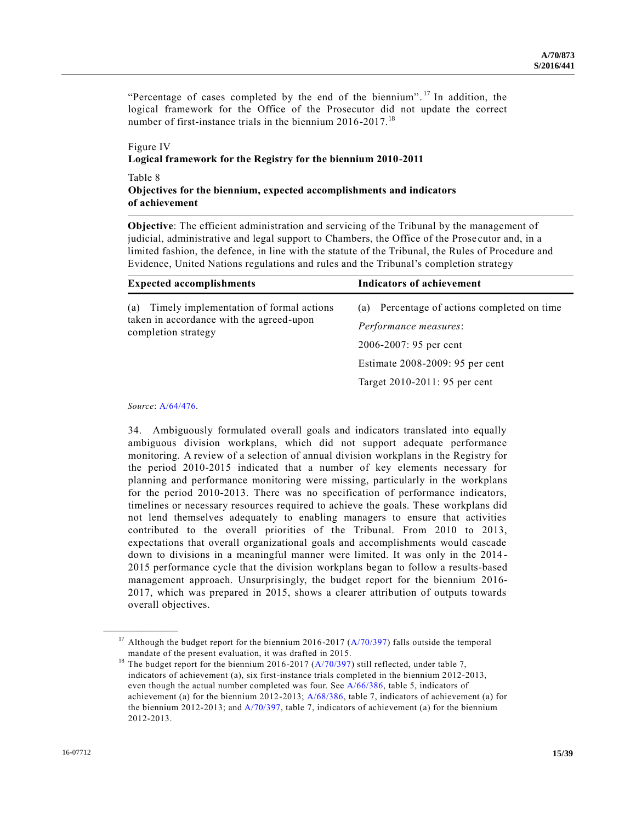"Percentage of cases completed by the end of the biennium".<sup>17</sup> In addition, the logical framework for the Office of the Prosecutor did not update the correct number of first-instance trials in the biennium 2016-2017.<sup>18</sup>

## Figure IV **Logical framework for the Registry for the biennium 2010-2011**

#### Table 8 **Objectives for the biennium, expected accomplishments and indicators of achievement**

**Objective**: The efficient administration and servicing of the Tribunal by the management of judicial, administrative and legal support to Chambers, the Office of the Prose cutor and, in a limited fashion, the defence, in line with the statute of the Tribunal, the Rules of Procedure and Evidence, United Nations regulations and rules and the Tribunal's completion strategy

| <b>Expected accomplishments</b>                                                                                   | <b>Indicators of achievement</b>                                                                                                                                      |  |
|-------------------------------------------------------------------------------------------------------------------|-----------------------------------------------------------------------------------------------------------------------------------------------------------------------|--|
| Timely implementation of formal actions<br>(a)<br>taken in accordance with the agreed-upon<br>completion strategy | Percentage of actions completed on time<br>(a)<br>Performance measures:<br>2006-2007: 95 per cent<br>Estimate 2008-2009: 95 per cent<br>Target 2010-2011: 95 per cent |  |

#### *Source*: [A/64/476.](http://undocs.org/A/64/476)

**\_\_\_\_\_\_\_\_\_\_\_\_\_\_\_\_\_\_**

34. Ambiguously formulated overall goals and indicators translated into equally ambiguous division workplans, which did not support adequate performance monitoring. A review of a selection of annual division workplans in the Registry for the period 2010-2015 indicated that a number of key elements necessary for planning and performance monitoring were missing, particularly in the workplans for the period 2010-2013. There was no specification of performance indicators, timelines or necessary resources required to achieve the goals. These workplans did not lend themselves adequately to enabling managers to ensure that activities contributed to the overall priorities of the Tribunal. From 2010 to 2013, expectations that overall organizational goals and accomplishments would cascade down to divisions in a meaningful manner were limited. It was only in the 2014 - 2015 performance cycle that the division workplans began to follow a results-based management approach. Unsurprisingly, the budget report for the biennium 2016- 2017, which was prepared in 2015, shows a clearer attribution of outputs towards overall objectives.

<sup>&</sup>lt;sup>17</sup> Although the budget report for the biennium 2016-2017 ( $A/70/397$ ) falls outside the temporal mandate of the present evaluation, it was drafted in 2015.

<sup>&</sup>lt;sup>18</sup> The budget report for the biennium 2016-2017 ( $A/70/397$ ) still reflected, under table 7, indicators of achievement (a), six first-instance trials completed in the biennium 2012-2013, even though the actual number completed was four. See [A/66/386,](http://undocs.org/A/66/386) table 5, indicators of achievement (a) for the biennium 2012-2013; [A/68/386,](http://undocs.org/A/68/386) table 7, indicators of achievement (a) for the biennium 2012-2013; and [A/70/397,](http://undocs.org/A/70/397) table 7, indicators of achievement (a) for the biennium 2012-2013.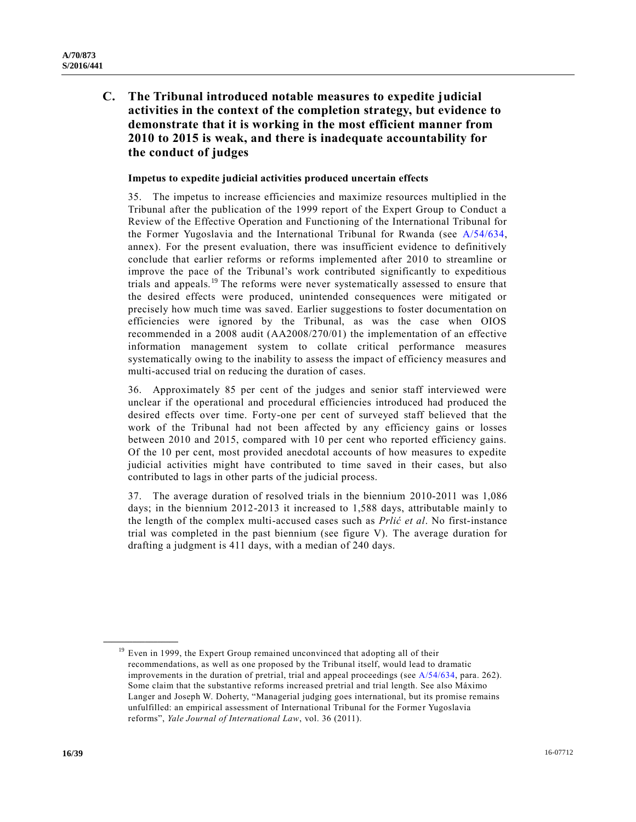**C. The Tribunal introduced notable measures to expedite judicial activities in the context of the completion strategy, but evidence to demonstrate that it is working in the most efficient manner from 2010 to 2015 is weak, and there is inadequate accountability for the conduct of judges**

#### **Impetus to expedite judicial activities produced uncertain effects**

35. The impetus to increase efficiencies and maximize resources multiplied in the Tribunal after the publication of the 1999 report of the Expert Group to Conduct a Review of the Effective Operation and Functioning of the International Tribunal for the Former Yugoslavia and the International Tribunal for Rwanda (see [A/54/634,](http://undocs.org/A/54/634) annex). For the present evaluation, there was insufficient evidence to definitively conclude that earlier reforms or reforms implemented after 2010 to streamline or improve the pace of the Tribunal's work contributed significantly to expeditious trials and appeals.<sup>19</sup> The reforms were never systematically assessed to ensure that the desired effects were produced, unintended consequences were mitigated or precisely how much time was saved. Earlier suggestions to foster documentation on efficiencies were ignored by the Tribunal, as was the case when OIOS recommended in a 2008 audit (AA2008/270/01) the implementation of an effective information management system to collate critical performance measures systematically owing to the inability to assess the impact of efficiency measures and multi-accused trial on reducing the duration of cases.

36. Approximately 85 per cent of the judges and senior staff interviewed were unclear if the operational and procedural efficiencies introduced had produced the desired effects over time. Forty-one per cent of surveyed staff believed that the work of the Tribunal had not been affected by any efficiency gains or losses between 2010 and 2015, compared with 10 per cent who reported efficiency gains. Of the 10 per cent, most provided anecdotal accounts of how measures to expedite judicial activities might have contributed to time saved in their cases, but also contributed to lags in other parts of the judicial process.

37. The average duration of resolved trials in the biennium 2010-2011 was 1,086 days; in the biennium 2012-2013 it increased to 1,588 days, attributable mainly to the length of the complex multi-accused cases such as *Prlić et al*. No first-instance trial was completed in the past biennium (see figure V). The average duration for drafting a judgment is 411 days, with a median of 240 days.

 $19$  Even in 1999, the Expert Group remained unconvinced that adopting all of their recommendations, as well as one proposed by the Tribunal itself, would lead to dramatic improvements in the duration of pretrial, trial and appeal proceedings (see [A/54/634,](http://undocs.org/A/54/634) para. 262). Some claim that the substantive reforms increased pretrial and trial length. See also Máximo Langer and Joseph W. Doherty, "Managerial judging goes international, but its promise remains unfulfilled: an empirical assessment of International Tribunal for the Former Yugoslavia reforms", *Yale Journal of International Law*, vol. 36 (2011).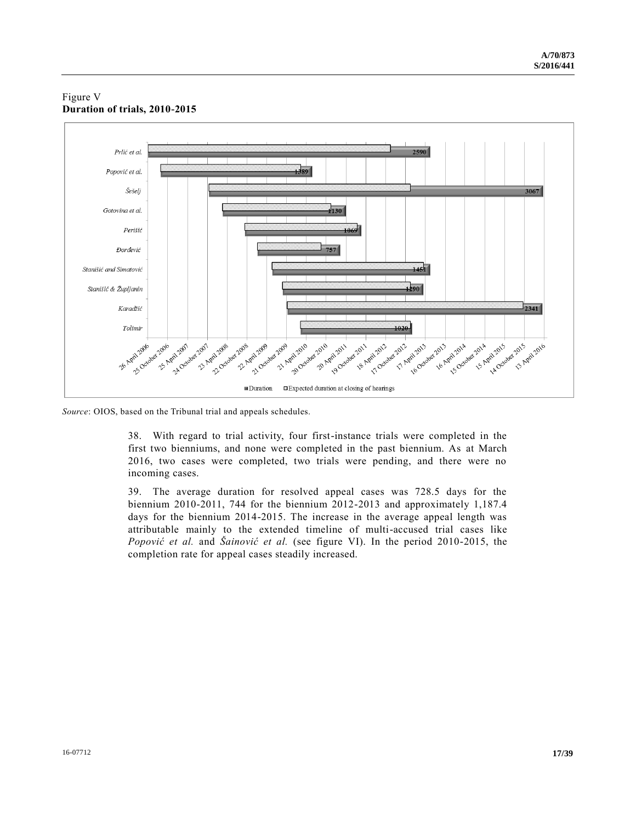### Figure V **Duration of trials, 2010-2015**



*Source*: OIOS, based on the Tribunal trial and appeals schedules.

38. With regard to trial activity, four first-instance trials were completed in the first two bienniums, and none were completed in the past biennium. As at March 2016, two cases were completed, two trials were pending, and there were no incoming cases.

39. The average duration for resolved appeal cases was 728.5 days for the biennium 2010-2011, 744 for the biennium 2012-2013 and approximately 1,187.4 days for the biennium 2014-2015. The increase in the average appeal length was attributable mainly to the extended timeline of multi-accused trial cases like *Popović et al.* and *Šainović et al.* (see figure VI). In the period 2010-2015, the completion rate for appeal cases steadily increased.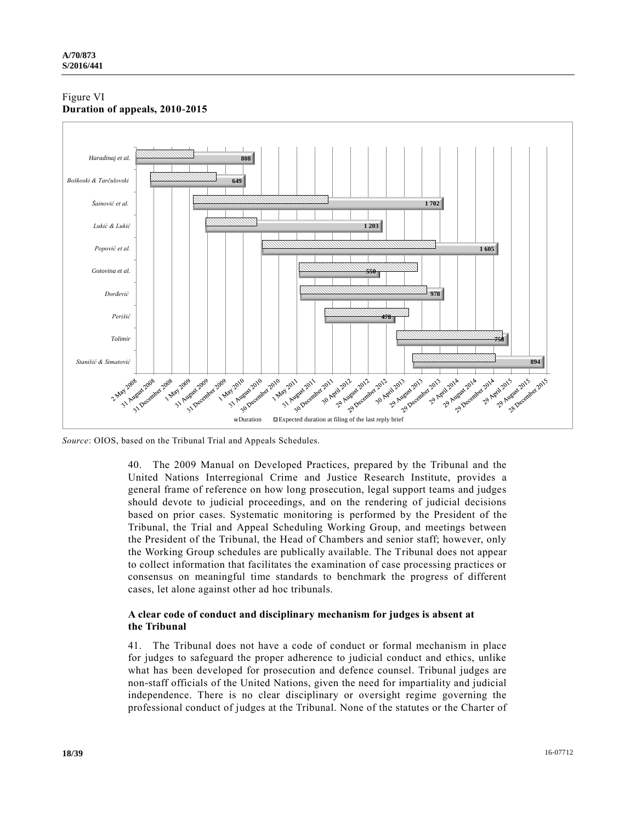### Figure VI **Duration of appeals, 2010-2015**



*Source*: OIOS, based on the Tribunal Trial and Appeals Schedules.

40. The 2009 Manual on Developed Practices, prepared by the Tribunal and the United Nations Interregional Crime and Justice Research Institute, provides a general frame of reference on how long prosecution, legal support teams and judges should devote to judicial proceedings, and on the rendering of judicial decisions based on prior cases. Systematic monitoring is performed by the President of the Tribunal, the Trial and Appeal Scheduling Working Group, and meetings between the President of the Tribunal, the Head of Chambers and senior staff; however, only the Working Group schedules are publically available. The Tribunal does not appear to collect information that facilitates the examination of case processing practices or consensus on meaningful time standards to benchmark the progress of different cases, let alone against other ad hoc tribunals.

## **A clear code of conduct and disciplinary mechanism for judges is absent at the Tribunal**

41. The Tribunal does not have a code of conduct or formal mechanism in place for judges to safeguard the proper adherence to judicial conduct and ethics, unlike what has been developed for prosecution and defence counsel. Tribunal judges are non-staff officials of the United Nations, given the need for impartiality and judicial independence. There is no clear disciplinary or oversight regime governing the professional conduct of judges at the Tribunal. None of the statutes or the Charter of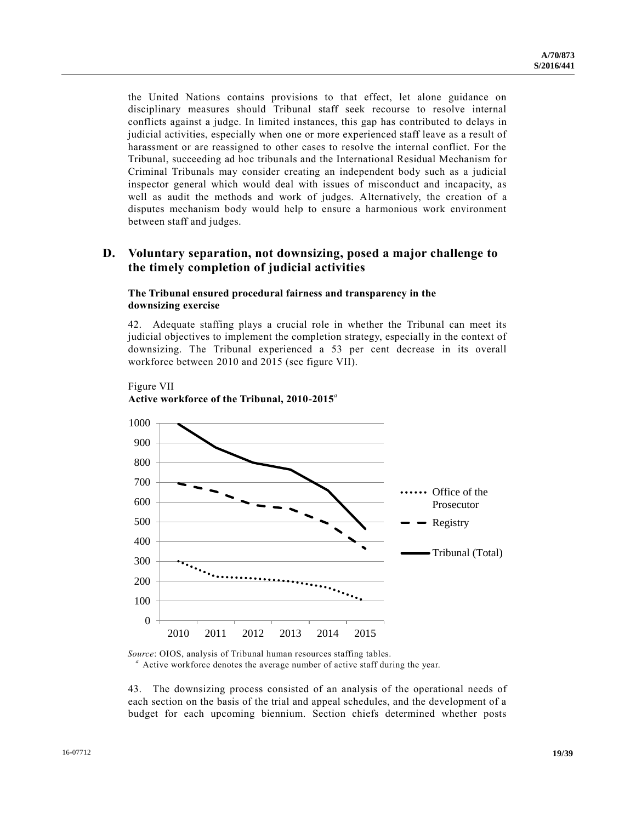the United Nations contains provisions to that effect, let alone guidance on disciplinary measures should Tribunal staff seek recourse to resolve internal conflicts against a judge. In limited instances, this gap has contributed to delays in judicial activities, especially when one or more experienced staff leave as a result of harassment or are reassigned to other cases to resolve the internal conflict. For the Tribunal, succeeding ad hoc tribunals and the International Residual Mechanism for Criminal Tribunals may consider creating an independent body such as a judicial inspector general which would deal with issues of misconduct and incapacity, as well as audit the methods and work of judges. Alternatively, the creation of a disputes mechanism body would help to ensure a harmonious work environment between staff and judges.

## **D. Voluntary separation, not downsizing, posed a major challenge to the timely completion of judicial activities**

#### **The Tribunal ensured procedural fairness and transparency in the downsizing exercise**

42. Adequate staffing plays a crucial role in whether the Tribunal can meet its judicial objectives to implement the completion strategy, especially in the context of downsizing. The Tribunal experienced a 53 per cent decrease in its overall workforce between 2010 and 2015 (see figure VII).





*<sup>a</sup>* Active workforce denotes the average number of active staff during the year.

43. The downsizing process consisted of an analysis of the operational needs of each section on the basis of the trial and appeal schedules, and the development of a budget for each upcoming biennium. Section chiefs determined whether posts

*Source*: OIOS, analysis of Tribunal human resources staffing tables.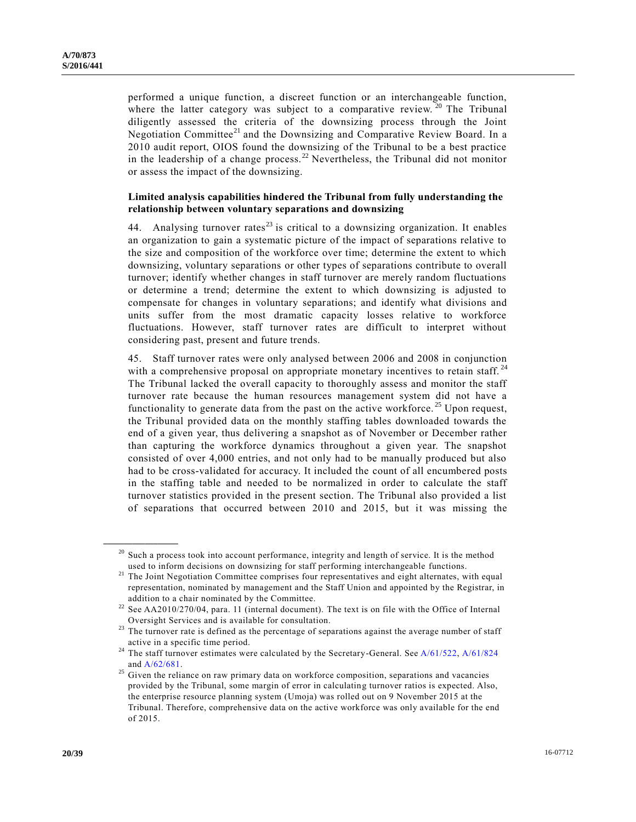performed a unique function, a discreet function or an interchangeable function, where the latter category was subject to a comparative review.  $20$  The Tribunal diligently assessed the criteria of the downsizing process through the Joint Negotiation Committee<sup>21</sup> and the Downsizing and Comparative Review Board. In a 2010 audit report, OIOS found the downsizing of the Tribunal to be a best practice in the leadership of a change process.<sup>22</sup> Nevertheless, the Tribunal did not monitor or assess the impact of the downsizing.

### **Limited analysis capabilities hindered the Tribunal from fully understanding the relationship between voluntary separations and downsizing**

44. Analysing turnover rates<sup>23</sup> is critical to a downsizing organization. It enables an organization to gain a systematic picture of the impact of separations relative to the size and composition of the workforce over time; determine the extent to which downsizing, voluntary separations or other types of separations contribute to overall turnover; identify whether changes in staff turnover are merely random fluctuations or determine a trend; determine the extent to which downsizing is adjusted to compensate for changes in voluntary separations; and identify what divisions and units suffer from the most dramatic capacity losses relative to workforce fluctuations. However, staff turnover rates are difficult to interpret without considering past, present and future trends.

45. Staff turnover rates were only analysed between 2006 and 2008 in conjunction with a comprehensive proposal on appropriate monetary incentives to retain staff.<sup>24</sup> The Tribunal lacked the overall capacity to thoroughly assess and monitor the staff turnover rate because the human resources management system did not have a functionality to generate data from the past on the active workforce.<sup>25</sup> Upon request, the Tribunal provided data on the monthly staffing tables downloaded towards the end of a given year, thus delivering a snapshot as of November or December rather than capturing the workforce dynamics throughout a given year. The snapshot consisted of over 4,000 entries, and not only had to be manually produced but also had to be cross-validated for accuracy. It included the count of all encumbered posts in the staffing table and needed to be normalized in order to calculate the staff turnover statistics provided in the present section. The Tribunal also provided a list of separations that occurred between 2010 and 2015, but it was missing the

<sup>&</sup>lt;sup>20</sup> Such a process took into account performance, integrity and length of service. It is the method used to inform decisions on downsizing for staff performing interchangeable functions.

<sup>&</sup>lt;sup>21</sup> The Joint Negotiation Committee comprises four representatives and eight alternates, with equal representation, nominated by management and the Staff Union and appointed by the Registrar, in addition to a chair nominated by the Committee.

 $22$  See AA2010/270/04, para. 11 (internal document). The text is on file with the Office of Internal Oversight Services and is available for consultation.

 $23$  The turnover rate is defined as the percentage of separations against the average number of staff active in a specific time period.

<sup>&</sup>lt;sup>24</sup> The staff turnover estimates were calculated by the Secretary-General. See  $A/61/522$ ,  $A/61/824$ an[d A/62/681.](http://undocs.org/A/62/681)

<sup>&</sup>lt;sup>25</sup> Given the reliance on raw primary data on workforce composition, separations and vacancies provided by the Tribunal, some margin of error in calculating turnover ratios is expected. Also, the enterprise resource planning system (Umoja) was rolled out on 9 November 2015 at the Tribunal. Therefore, comprehensive data on the active workforce was only available for the end of 2015.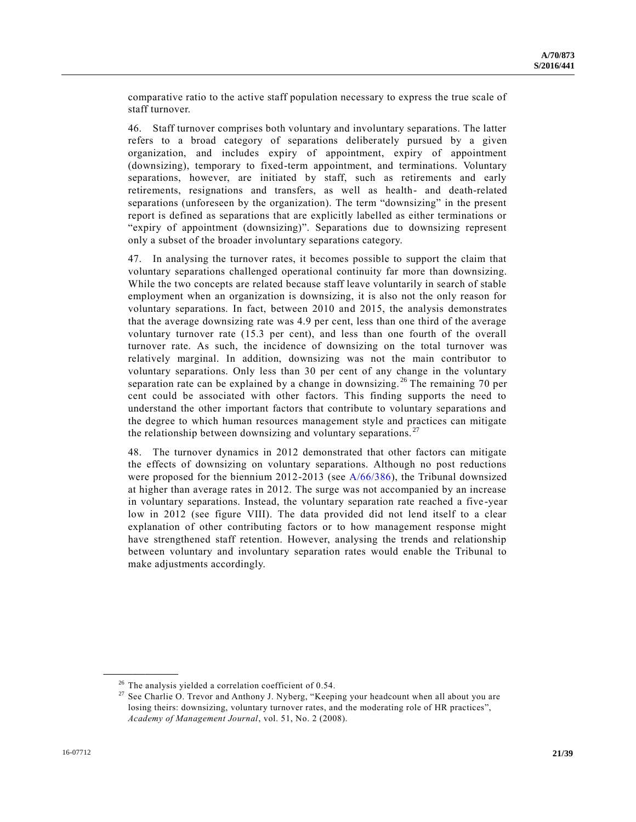comparative ratio to the active staff population necessary to express the true scale of staff turnover.

46. Staff turnover comprises both voluntary and involuntary separations. The latter refers to a broad category of separations deliberately pursued by a given organization, and includes expiry of appointment, expiry of appointment (downsizing), temporary to fixed-term appointment, and terminations. Voluntary separations, however, are initiated by staff, such as retirements and early retirements, resignations and transfers, as well as health- and death-related separations (unforeseen by the organization). The term "downsizing" in the present report is defined as separations that are explicitly labelled as either terminations or "expiry of appointment (downsizing)". Separations due to downsizing represent only a subset of the broader involuntary separations category.

47. In analysing the turnover rates, it becomes possible to support the claim that voluntary separations challenged operational continuity far more than downsizing. While the two concepts are related because staff leave voluntarily in search of stable employment when an organization is downsizing, it is also not the only reason for voluntary separations. In fact, between 2010 and 2015, the analysis demonstrates that the average downsizing rate was 4.9 per cent, less than one third of the average voluntary turnover rate (15.3 per cent), and less than one fourth of the overall turnover rate. As such, the incidence of downsizing on the total turnover was relatively marginal. In addition, downsizing was not the main contributor to voluntary separations. Only less than 30 per cent of any change in the voluntary separation rate can be explained by a change in downsizing.<sup>26</sup> The remaining 70 per cent could be associated with other factors. This finding supports the need to understand the other important factors that contribute to voluntary separations and the degree to which human resources management style and practices can mitigate the relationship between downsizing and voluntary separations.<sup>27</sup>

The turnover dynamics in 2012 demonstrated that other factors can mitigate the effects of downsizing on voluntary separations. Although no post reductions were proposed for the biennium 2012-2013 (see [A/66/386\)](http://undocs.org/A/66/386), the Tribunal downsized at higher than average rates in 2012. The surge was not accompanied by an increase in voluntary separations. Instead, the voluntary separation rate reached a five -year low in 2012 (see figure VIII). The data provided did not lend itself to a clear explanation of other contributing factors or to how management response might have strengthened staff retention. However, analysing the trends and relationship between voluntary and involuntary separation rates would enable the Tribunal to make adjustments accordingly.

 $26$  The analysis yielded a correlation coefficient of 0.54.

<sup>&</sup>lt;sup>27</sup> See Charlie O. Trevor and Anthony J. Nyberg, "Keeping your headcount when all about you are losing theirs: downsizing, voluntary turnover rates, and the moderating role of HR practices", *Academy of Management Journal*, vol. 51, No. 2 (2008).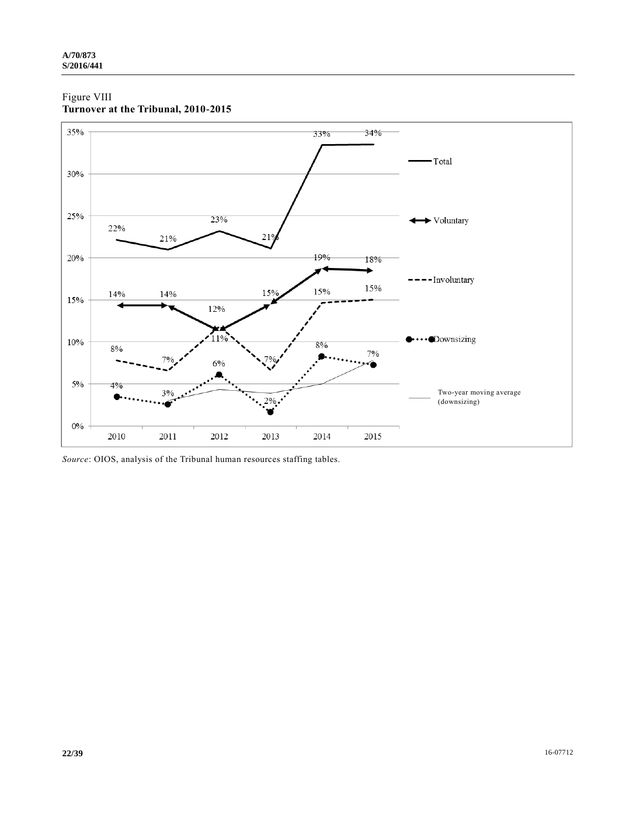## Figure VIII **Turnover at the Tribunal, 2010-2015**



*Source*: OIOS, analysis of the Tribunal human resources staffing tables.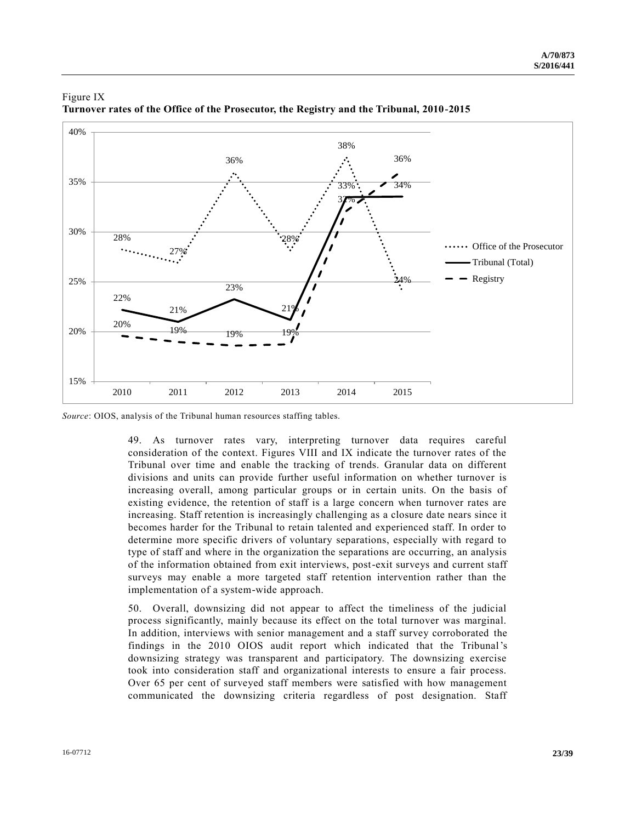

### Figure IX **Turnover rates of the Office of the Prosecutor, the Registry and the Tribunal, 2010-2015**

*Source*: OIOS, analysis of the Tribunal human resources staffing tables.

49. As turnover rates vary, interpreting turnover data requires careful consideration of the context. Figures VIII and IX indicate the turnover rates of the Tribunal over time and enable the tracking of trends. Granular data on different divisions and units can provide further useful information on whether turnover is increasing overall, among particular groups or in certain units. On the basis of existing evidence, the retention of staff is a large concern when turnover rates are increasing. Staff retention is increasingly challenging as a closure date nears since it becomes harder for the Tribunal to retain talented and experienced staff. In order to determine more specific drivers of voluntary separations, especially with regard to type of staff and where in the organization the separations are occurring, an analysis of the information obtained from exit interviews, post-exit surveys and current staff surveys may enable a more targeted staff retention intervention rather than the implementation of a system-wide approach.

50. Overall, downsizing did not appear to affect the timeliness of the judicial process significantly, mainly because its effect on the total turnover was marginal. In addition, interviews with senior management and a staff survey corroborated the findings in the 2010 OIOS audit report which indicated that the Tribunal's downsizing strategy was transparent and participatory. The downsizing exercise took into consideration staff and organizational interests to ensure a fair process. Over 65 per cent of surveyed staff members were satisfied with how management communicated the downsizing criteria regardless of post designation. Staff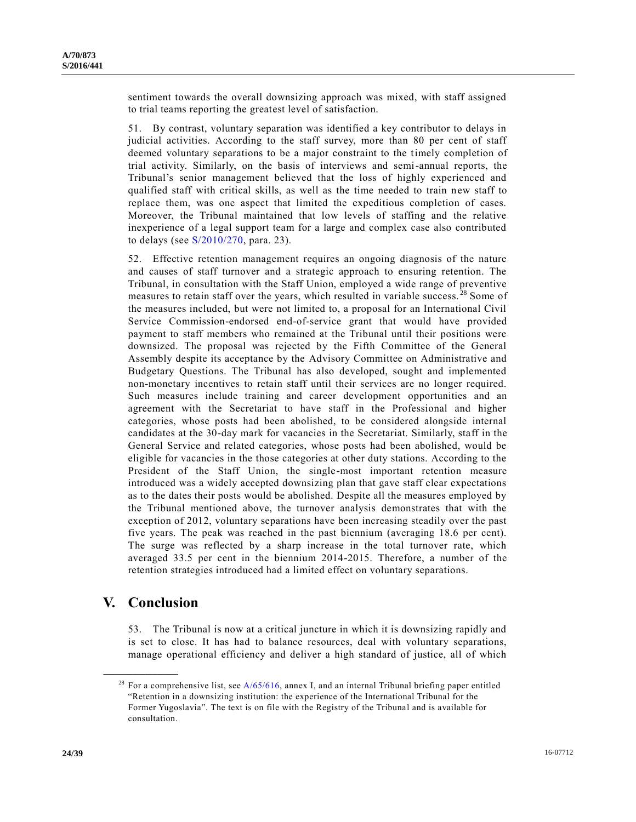sentiment towards the overall downsizing approach was mixed, with staff assigned to trial teams reporting the greatest level of satisfaction.

51. By contrast, voluntary separation was identified a key contributor to delays in judicial activities. According to the staff survey, more than 80 per cent of staff deemed voluntary separations to be a major constraint to the timely completion of trial activity. Similarly, on the basis of interviews and semi-annual reports, the Tribunal's senior management believed that the loss of highly experienced and qualified staff with critical skills, as well as the time needed to train new staff to replace them, was one aspect that limited the expeditious completion of cases. Moreover, the Tribunal maintained that low levels of staffing and the relative inexperience of a legal support team for a large and complex case also contributed to delays (see  $S/2010/270$ , para. 23).

52. Effective retention management requires an ongoing diagnosis of the nature and causes of staff turnover and a strategic approach to ensuring retention. The Tribunal, in consultation with the Staff Union, employed a wide range of preventive measures to retain staff over the years, which resulted in variable success.<sup>28</sup> Some of the measures included, but were not limited to, a proposal for an International Civil Service Commission-endorsed end-of-service grant that would have provided payment to staff members who remained at the Tribunal until their positions were downsized. The proposal was rejected by the Fifth Committee of the General Assembly despite its acceptance by the Advisory Committee on Administrative and Budgetary Questions. The Tribunal has also developed, sought and implemented non-monetary incentives to retain staff until their services are no longer required. Such measures include training and career development opportunities and an agreement with the Secretariat to have staff in the Professional and higher categories, whose posts had been abolished, to be considered alongside internal candidates at the 30-day mark for vacancies in the Secretariat. Similarly, staff in the General Service and related categories, whose posts had been abolished, would be eligible for vacancies in the those categories at other duty stations. According to the President of the Staff Union, the single-most important retention measure introduced was a widely accepted downsizing plan that gave staff clear expectations as to the dates their posts would be abolished. Despite all the measures employed by the Tribunal mentioned above, the turnover analysis demonstrates that with the exception of 2012, voluntary separations have been increasing steadily over the past five years. The peak was reached in the past biennium (averaging 18.6 per cent). The surge was reflected by a sharp increase in the total turnover rate, which averaged 33.5 per cent in the biennium 2014-2015. Therefore, a number of the retention strategies introduced had a limited effect on voluntary separations.

# **V. Conclusion**

**\_\_\_\_\_\_\_\_\_\_\_\_\_\_\_\_\_\_**

53. The Tribunal is now at a critical juncture in which it is downsizing rapidly and is set to close. It has had to balance resources, deal with voluntary separations, manage operational efficiency and deliver a high standard of justice, all of which

<sup>&</sup>lt;sup>28</sup> For a comprehensive list, see  $A/65/616$ , annex I, and an internal Tribunal briefing paper entitled "Retention in a downsizing institution: the experience of the International Tribunal for the Former Yugoslavia". The text is on file with the Registry of the Tribunal and is available for consultation.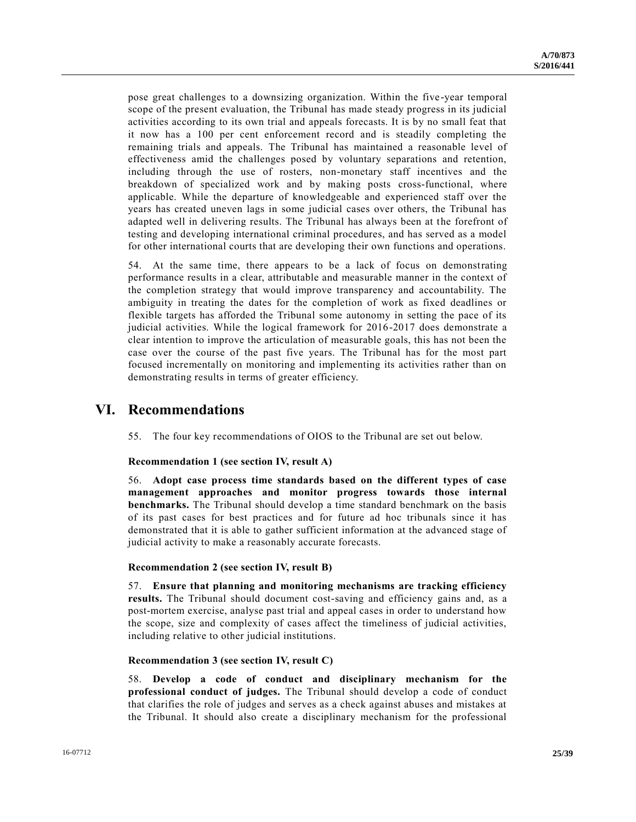pose great challenges to a downsizing organization. Within the five-year temporal scope of the present evaluation, the Tribunal has made steady progress in its judicial activities according to its own trial and appeals forecasts. It is by no small feat that it now has a 100 per cent enforcement record and is steadily completing the remaining trials and appeals. The Tribunal has maintained a reasonable level of effectiveness amid the challenges posed by voluntary separations and retention, including through the use of rosters, non-monetary staff incentives and the breakdown of specialized work and by making posts cross-functional, where applicable. While the departure of knowledgeable and experienced staff over the years has created uneven lags in some judicial cases over others, the Tribunal has adapted well in delivering results. The Tribunal has always been at the forefront of testing and developing international criminal procedures, and has served as a model for other international courts that are developing their own functions and operations.

54. At the same time, there appears to be a lack of focus on demonstrating performance results in a clear, attributable and measurable manner in the context of the completion strategy that would improve transparency and accountability. The ambiguity in treating the dates for the completion of work as fixed deadlines or flexible targets has afforded the Tribunal some autonomy in setting the pace of its judicial activities. While the logical framework for 2016-2017 does demonstrate a clear intention to improve the articulation of measurable goals, this has not been the case over the course of the past five years. The Tribunal has for the most part focused incrementally on monitoring and implementing its activities rather than on demonstrating results in terms of greater efficiency.

# **VI. Recommendations**

55. The four key recommendations of OIOS to the Tribunal are set out below.

### **Recommendation 1 (see section IV, result A)**

56. **Adopt case process time standards based on the different types of case management approaches and monitor progress towards those internal benchmarks.** The Tribunal should develop a time standard benchmark on the basis of its past cases for best practices and for future ad hoc tribunals since it has demonstrated that it is able to gather sufficient information at the advanced stage of judicial activity to make a reasonably accurate forecasts.

### **Recommendation 2 (see section IV, result B)**

57. **Ensure that planning and monitoring mechanisms are tracking efficiency results.** The Tribunal should document cost-saving and efficiency gains and, as a post-mortem exercise, analyse past trial and appeal cases in order to understand how the scope, size and complexity of cases affect the timeliness of judicial activities, including relative to other judicial institutions.

#### **Recommendation 3 (see section IV, result C)**

58. **Develop a code of conduct and disciplinary mechanism for the professional conduct of judges.** The Tribunal should develop a code of conduct that clarifies the role of judges and serves as a check against abuses and mistakes at the Tribunal. It should also create a disciplinary mechanism for the professional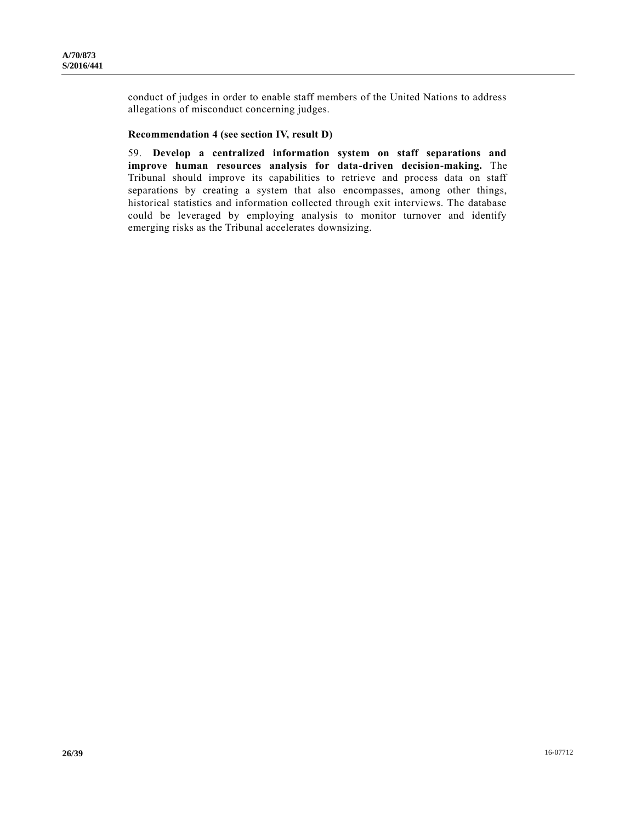conduct of judges in order to enable staff members of the United Nations to address allegations of misconduct concerning judges.

#### **Recommendation 4 (see section IV, result D)**

59. **Develop a centralized information system on staff separations and improve human resources analysis for data-driven decision-making.** The Tribunal should improve its capabilities to retrieve and process data on staff separations by creating a system that also encompasses, among other things, historical statistics and information collected through exit interviews. The database could be leveraged by employing analysis to monitor turnover and identify emerging risks as the Tribunal accelerates downsizing.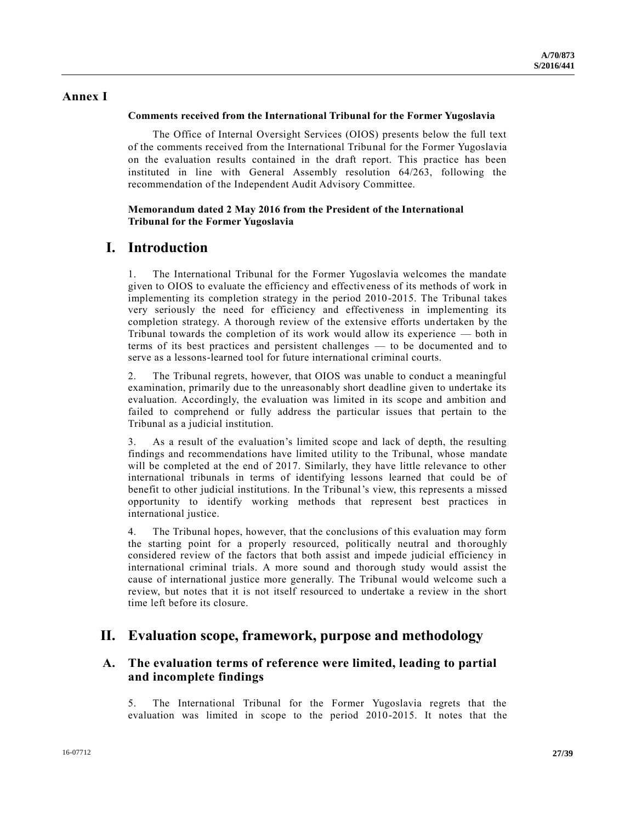## **Annex I**

#### **Comments received from the International Tribunal for the Former Yugoslavia**

The Office of Internal Oversight Services (OIOS) presents below the full text of the comments received from the International Tribunal for the Former Yugoslavia on the evaluation results contained in the draft report. This practice has been instituted in line with General Assembly resolution 64/263, following the recommendation of the Independent Audit Advisory Committee.

### **Memorandum dated 2 May 2016 from the President of the International Tribunal for the Former Yugoslavia**

# **I. Introduction**

1. The International Tribunal for the Former Yugoslavia welcomes the mandate given to OIOS to evaluate the efficiency and effectiveness of its methods of work in implementing its completion strategy in the period 2010-2015. The Tribunal takes very seriously the need for efficiency and effectiveness in implementing its completion strategy. A thorough review of the extensive efforts undertaken by the Tribunal towards the completion of its work would allow its experience — both in terms of its best practices and persistent challenges — to be documented and to serve as a lessons-learned tool for future international criminal courts.

2. The Tribunal regrets, however, that OIOS was unable to conduct a meaningful examination, primarily due to the unreasonably short deadline given to undertake its evaluation. Accordingly, the evaluation was limited in its scope and ambition and failed to comprehend or fully address the particular issues that pertain to the Tribunal as a judicial institution.

3. As a result of the evaluation's limited scope and lack of depth, the resulting findings and recommendations have limited utility to the Tribunal, whose mandate will be completed at the end of 2017. Similarly, they have little relevance to other international tribunals in terms of identifying lessons learned that could be of benefit to other judicial institutions. In the Tribunal's view, this represents a missed opportunity to identify working methods that represent best practices in international justice.

4. The Tribunal hopes, however, that the conclusions of this evaluation may form the starting point for a properly resourced, politically neutral and thoroughly considered review of the factors that both assist and impede judicial efficiency in international criminal trials. A more sound and thorough study would assist the cause of international justice more generally. The Tribunal would welcome such a review, but notes that it is not itself resourced to undertake a review in the short time left before its closure.

# **II. Evaluation scope, framework, purpose and methodology**

# **A. The evaluation terms of reference were limited, leading to partial and incomplete findings**

5. The International Tribunal for the Former Yugoslavia regrets that the evaluation was limited in scope to the period 2010-2015. It notes that the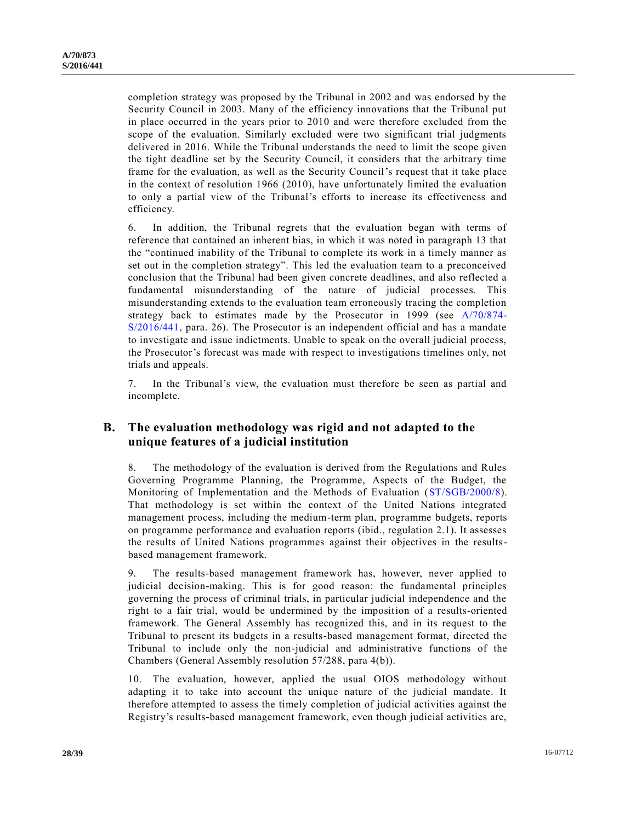completion strategy was proposed by the Tribunal in 2002 and was endorsed by the Security Council in 2003. Many of the efficiency innovations that the Tribunal put in place occurred in the years prior to 2010 and were therefore excluded from the scope of the evaluation. Similarly excluded were two significant trial judgments delivered in 2016. While the Tribunal understands the need to limit the scope given the tight deadline set by the Security Council, it considers that the arbitrary time frame for the evaluation, as well as the Security Council's request that it take place in the context of resolution 1966 (2010), have unfortunately limited the evaluation to only a partial view of the Tribunal's efforts to increase its effectiveness and efficiency.

6. In addition, the Tribunal regrets that the evaluation began with terms of reference that contained an inherent bias, in which it was noted in paragraph 13 that the "continued inability of the Tribunal to complete its work in a timely manner as set out in the completion strategy". This led the evaluation team to a preconceived conclusion that the Tribunal had been given concrete deadlines, and also reflected a fundamental misunderstanding of the nature of judicial processes. This misunderstanding extends to the evaluation team erroneously tracing the completion strategy back to estimates made by the Prosecutor in 1999 (see [A/70/874-](http://undocs.org/A/70/874) [S/2016/441,](http://undocs.org/A/70/874) para. 26). The Prosecutor is an independent official and has a mandate to investigate and issue indictments. Unable to speak on the overall judicial process, the Prosecutor's forecast was made with respect to investigations timelines only, not trials and appeals.

7. In the Tribunal's view, the evaluation must therefore be seen as partial and incomplete.

## **B. The evaluation methodology was rigid and not adapted to the unique features of a judicial institution**

8. The methodology of the evaluation is derived from the Regulations and Rules Governing Programme Planning, the Programme, Aspects of the Budget, the Monitoring of Implementation and the Methods of Evaluation [\(ST/SGB/2000/8\)](http://undocs.org/ST/SGB/2000/8). That methodology is set within the context of the United Nations integrated management process, including the medium-term plan, programme budgets, reports on programme performance and evaluation reports (ibid., regulation 2.1). It assesses the results of United Nations programmes against their objectives in the resultsbased management framework.

9. The results-based management framework has, however, never applied to judicial decision-making. This is for good reason: the fundamental principles governing the process of criminal trials, in particular judicial independence and the right to a fair trial, would be undermined by the imposition of a results-oriented framework. The General Assembly has recognized this, and in its request to the Tribunal to present its budgets in a results-based management format, directed the Tribunal to include only the non-judicial and administrative functions of the Chambers (General Assembly resolution 57/288, para 4(b)).

10. The evaluation, however, applied the usual OIOS methodology without adapting it to take into account the unique nature of the judicial mandate. It therefore attempted to assess the timely completion of judicial activities against the Registry's results-based management framework, even though judicial activities are,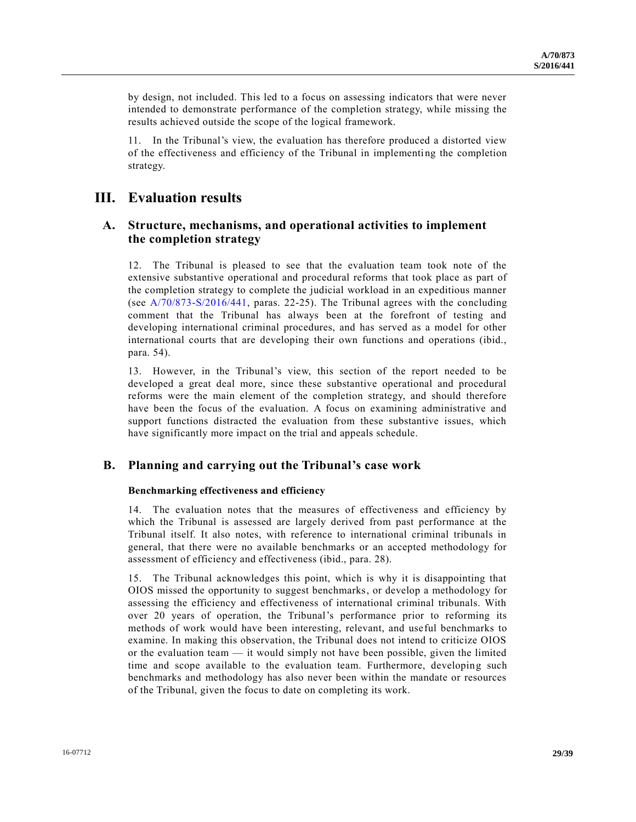by design, not included. This led to a focus on assessing indicators that were never intended to demonstrate performance of the completion strategy, while missing the results achieved outside the scope of the logical framework.

11. In the Tribunal's view, the evaluation has therefore produced a distorted view of the effectiveness and efficiency of the Tribunal in implementing the completion strategy.

# **III. Evaluation results**

## **A. Structure, mechanisms, and operational activities to implement the completion strategy**

12. The Tribunal is pleased to see that the evaluation team took note of the extensive substantive operational and procedural reforms that took place as part of the completion strategy to complete the judicial workload in an expeditious manner (see [A/70/873-S/2016/441,](http://undocs.org/A/70/873) paras. 22-25). The Tribunal agrees with the concluding comment that the Tribunal has always been at the forefront of testing and developing international criminal procedures, and has served as a model for other international courts that are developing their own functions and operations (ibid., para. 54).

13. However, in the Tribunal's view, this section of the report needed to be developed a great deal more, since these substantive operational and procedural reforms were the main element of the completion strategy, and should therefore have been the focus of the evaluation. A focus on examining administrative and support functions distracted the evaluation from these substantive issues, which have significantly more impact on the trial and appeals schedule.

# **B. Planning and carrying out the Tribunal's case work**

### **Benchmarking effectiveness and efficiency**

14. The evaluation notes that the measures of effectiveness and efficiency by which the Tribunal is assessed are largely derived from past performance at the Tribunal itself. It also notes, with reference to international criminal tribunals in general, that there were no available benchmarks or an accepted methodology for assessment of efficiency and effectiveness (ibid., para. 28).

15. The Tribunal acknowledges this point, which is why it is disappointing that OIOS missed the opportunity to suggest benchmarks, or develop a methodology for assessing the efficiency and effectiveness of international criminal tribunals. With over 20 years of operation, the Tribunal's performance prior to reforming its methods of work would have been interesting, relevant, and useful benchmarks to examine. In making this observation, the Tribunal does not intend to criticize OIOS or the evaluation team  $-$  it would simply not have been possible, given the limited time and scope available to the evaluation team. Furthermore, developing such benchmarks and methodology has also never been within the mandate or resources of the Tribunal, given the focus to date on completing its work.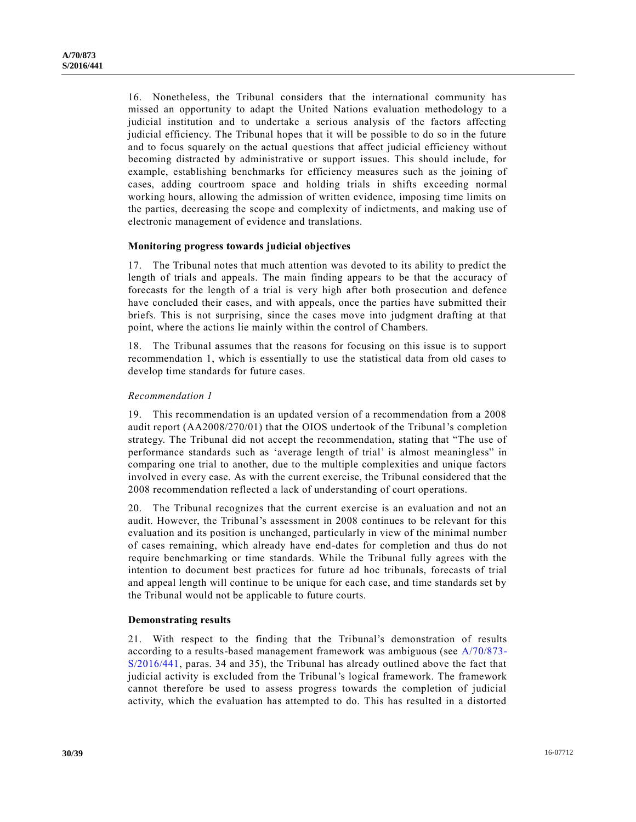16. Nonetheless, the Tribunal considers that the international community has missed an opportunity to adapt the United Nations evaluation methodology to a judicial institution and to undertake a serious analysis of the factors affecting judicial efficiency. The Tribunal hopes that it will be possible to do so in the future and to focus squarely on the actual questions that affect judicial efficiency without becoming distracted by administrative or support issues. This should include, for example, establishing benchmarks for efficiency measures such as the joining of cases, adding courtroom space and holding trials in shifts exceeding normal working hours, allowing the admission of written evidence, imposing time limits on the parties, decreasing the scope and complexity of indictments, and making use of electronic management of evidence and translations.

#### **Monitoring progress towards judicial objectives**

17. The Tribunal notes that much attention was devoted to its ability to predict the length of trials and appeals. The main finding appears to be that the accuracy of forecasts for the length of a trial is very high after both prosecution and defence have concluded their cases, and with appeals, once the parties have submitted their briefs. This is not surprising, since the cases move into judgment drafting at that point, where the actions lie mainly within the control of Chambers.

18. The Tribunal assumes that the reasons for focusing on this issue is to support recommendation 1, which is essentially to use the statistical data from old cases to develop time standards for future cases.

#### *Recommendation 1*

19. This recommendation is an updated version of a recommendation from a 2008 audit report (AA2008/270/01) that the OIOS undertook of the Tribunal's completion strategy. The Tribunal did not accept the recommendation, stating that "The use of performance standards such as 'average length of trial' is almost meaningless" in comparing one trial to another, due to the multiple complexities and unique factors involved in every case. As with the current exercise, the Tribunal considered that the 2008 recommendation reflected a lack of understanding of court operations.

20. The Tribunal recognizes that the current exercise is an evaluation and not an audit. However, the Tribunal's assessment in 2008 continues to be relevant for this evaluation and its position is unchanged, particularly in view of the minimal number of cases remaining, which already have end-dates for completion and thus do not require benchmarking or time standards. While the Tribunal fully agrees with the intention to document best practices for future ad hoc tribunals, forecasts of trial and appeal length will continue to be unique for each case, and time standards set by the Tribunal would not be applicable to future courts.

#### **Demonstrating results**

21. With respect to the finding that the Tribunal's demonstration of results according to a results-based management framework was ambiguous (see [A/70/873-](http://undocs.org/A/70/873) [S/2016/441,](http://undocs.org/A/70/873) paras. 34 and 35), the Tribunal has already outlined above the fact that judicial activity is excluded from the Tribunal's logical framework. The framework cannot therefore be used to assess progress towards the completion of judicial activity, which the evaluation has attempted to do. This has resulted in a distorted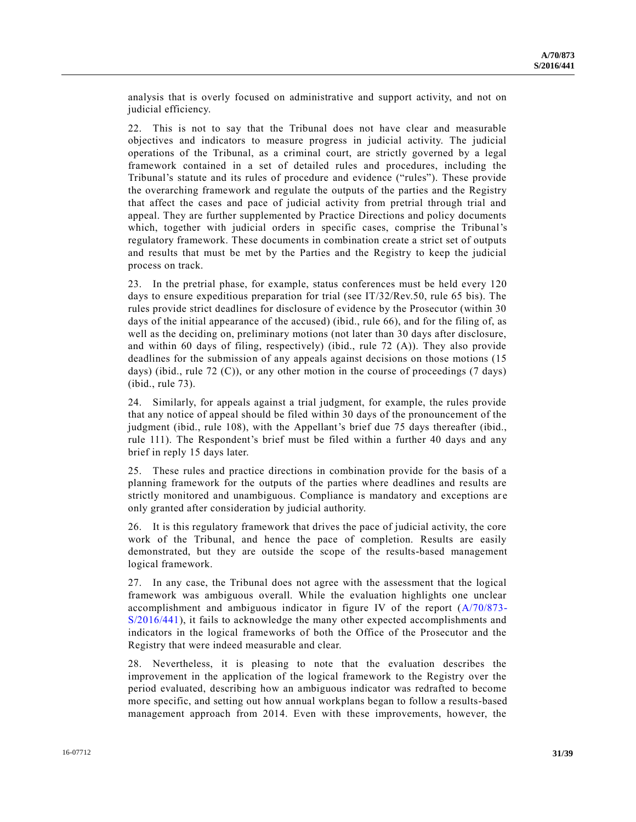analysis that is overly focused on administrative and support activity, and not on judicial efficiency.

22. This is not to say that the Tribunal does not have clear and measurable objectives and indicators to measure progress in judicial activity. The judicial operations of the Tribunal, as a criminal court, are strictly governed by a legal framework contained in a set of detailed rules and procedures, including the Tribunal's statute and its rules of procedure and evidence ("rules"). These provide the overarching framework and regulate the outputs of the parties and the Registry that affect the cases and pace of judicial activity from pretrial through trial and appeal. They are further supplemented by Practice Directions and policy documents which, together with judicial orders in specific cases, comprise the Tribunal's regulatory framework. These documents in combination create a strict set of outputs and results that must be met by the Parties and the Registry to keep the judicial process on track.

23. In the pretrial phase, for example, status conferences must be held every 120 days to ensure expeditious preparation for trial (see IT/32/Rev.50, rule 65 bis). The rules provide strict deadlines for disclosure of evidence by the Prosecutor (within 30 days of the initial appearance of the accused) (ibid., rule 66), and for the filing of, as well as the deciding on, preliminary motions (not later than 30 days after disclosure, and within 60 days of filing, respectively) (ibid., rule 72 (A)). They also provide deadlines for the submission of any appeals against decisions on those motions (15 days) (ibid., rule 72 (C)), or any other motion in the course of proceedings (7 days) (ibid., rule 73).

24. Similarly, for appeals against a trial judgment, for example, the rules provide that any notice of appeal should be filed within 30 days of the pronouncement of the judgment (ibid., rule 108), with the Appellant's brief due 75 days thereafter (ibid., rule 111). The Respondent's brief must be filed within a further 40 days and any brief in reply 15 days later.

25. These rules and practice directions in combination provide for the basis of a planning framework for the outputs of the parties where deadlines and results are strictly monitored and unambiguous. Compliance is mandatory and exceptions ar e only granted after consideration by judicial authority.

26. It is this regulatory framework that drives the pace of judicial activity, the core work of the Tribunal, and hence the pace of completion. Results are easily demonstrated, but they are outside the scope of the results-based management logical framework.

27. In any case, the Tribunal does not agree with the assessment that the logical framework was ambiguous overall. While the evaluation highlights one unclear accomplishment and ambiguous indicator in figure IV of the report [\(A/70/873-](http://undocs.org/A/70/873) [S/2016/441\)](http://undocs.org/A/70/873), it fails to acknowledge the many other expected accomplishments and indicators in the logical frameworks of both the Office of the Prosecutor and the Registry that were indeed measurable and clear.

28. Nevertheless, it is pleasing to note that the evaluation describes the improvement in the application of the logical framework to the Registry over the period evaluated, describing how an ambiguous indicator was redrafted to become more specific, and setting out how annual workplans began to follow a results-based management approach from 2014. Even with these improvements, however, the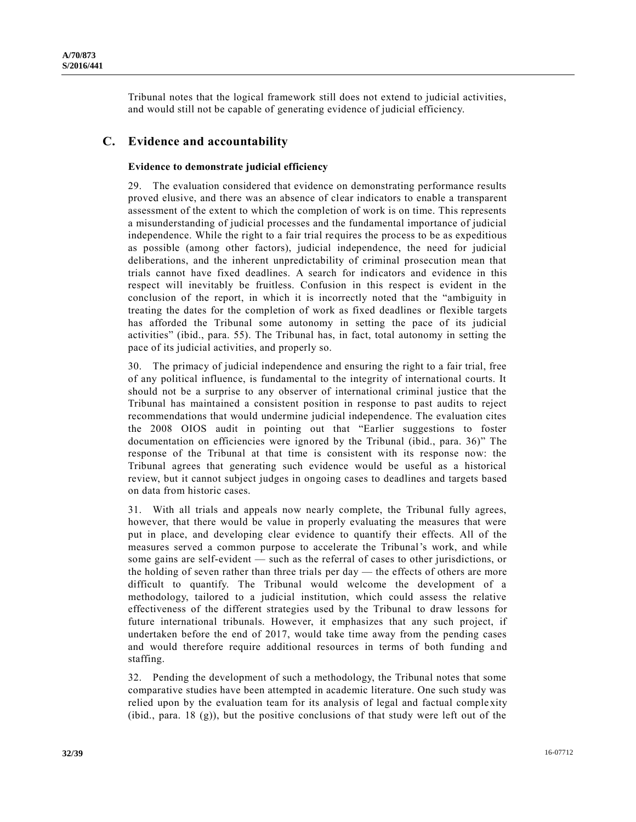Tribunal notes that the logical framework still does not extend to judicial activities, and would still not be capable of generating evidence of judicial efficiency.

# **C. Evidence and accountability**

### **Evidence to demonstrate judicial efficiency**

29. The evaluation considered that evidence on demonstrating performance results proved elusive, and there was an absence of clear indicators to enable a transparent assessment of the extent to which the completion of work is on time. This represents a misunderstanding of judicial processes and the fundamental importance of judicial independence. While the right to a fair trial requires the process to be as expeditious as possible (among other factors), judicial independence, the need for judicial deliberations, and the inherent unpredictability of criminal prosecution mean that trials cannot have fixed deadlines. A search for indicators and evidence in this respect will inevitably be fruitless. Confusion in this respect is evident in the conclusion of the report, in which it is incorrectly noted that the "ambiguity in treating the dates for the completion of work as fixed deadlines or flexible targets has afforded the Tribunal some autonomy in setting the pace of its judicial activities" (ibid., para. 55). The Tribunal has, in fact, total autonomy in setting the pace of its judicial activities, and properly so.

30. The primacy of judicial independence and ensuring the right to a fair trial, free of any political influence, is fundamental to the integrity of international courts. It should not be a surprise to any observer of international criminal justice that the Tribunal has maintained a consistent position in response to past audits to reject recommendations that would undermine judicial independence. The evaluation cites the 2008 OIOS audit in pointing out that "Earlier suggestions to foster documentation on efficiencies were ignored by the Tribunal (ibid., para. 36)" The response of the Tribunal at that time is consistent with its response now: the Tribunal agrees that generating such evidence would be useful as a historical review, but it cannot subject judges in ongoing cases to deadlines and targets based on data from historic cases.

31. With all trials and appeals now nearly complete, the Tribunal fully agrees, however, that there would be value in properly evaluating the measures that were put in place, and developing clear evidence to quantify their effects. All of the measures served a common purpose to accelerate the Tribunal's work, and while some gains are self-evident — such as the referral of cases to other jurisdictions, or the holding of seven rather than three trials per day — the effects of others are more difficult to quantify. The Tribunal would welcome the development of a methodology, tailored to a judicial institution, which could assess the relative effectiveness of the different strategies used by the Tribunal to draw lessons for future international tribunals. However, it emphasizes that any such project, if undertaken before the end of 2017, would take time away from the pending cases and would therefore require additional resources in terms of both funding a nd staffing.

32. Pending the development of such a methodology, the Tribunal notes that some comparative studies have been attempted in academic literature. One such study was relied upon by the evaluation team for its analysis of legal and factual comple xity (ibid., para. 18  $(g)$ ), but the positive conclusions of that study were left out of the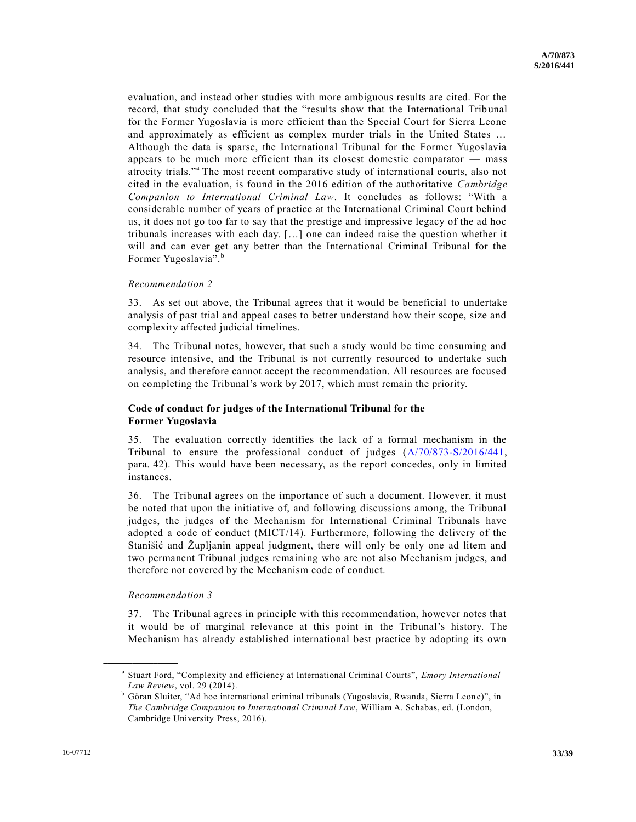evaluation, and instead other studies with more ambiguous results are cited. For the record, that study concluded that the "results show that the International Trib unal for the Former Yugoslavia is more efficient than the Special Court for Sierra Leone and approximately as efficient as complex murder trials in the United States … Although the data is sparse, the International Tribunal for the Former Yugoslavia appears to be much more efficient than its closest domestic comparator — mass atrocity trials."<sup>a</sup> The most recent comparative study of international courts, also not cited in the evaluation, is found in the 2016 edition of the authoritative *Cambridge Companion to International Criminal Law*. It concludes as follows: "With a considerable number of years of practice at the International Criminal Court behind us, it does not go too far to say that the prestige and impressive legacy of the ad hoc tribunals increases with each day. […] one can indeed raise the question whether it will and can ever get any better than the International Criminal Tribunal for the Former Yugoslavia".<sup>b</sup>

#### *Recommendation 2*

33. As set out above, the Tribunal agrees that it would be beneficial to undertake analysis of past trial and appeal cases to better understand how their scope, size and complexity affected judicial timelines.

34. The Tribunal notes, however, that such a study would be time consuming and resource intensive, and the Tribunal is not currently resourced to undertake such analysis, and therefore cannot accept the recommendation. All resources are focused on completing the Tribunal's work by 2017, which must remain the priority.

### **Code of conduct for judges of the International Tribunal for the Former Yugoslavia**

35. The evaluation correctly identifies the lack of a formal mechanism in the Tribunal to ensure the professional conduct of judges [\(A/70/873-S/2016/441,](http://undocs.org/A/70/873) para. 42). This would have been necessary, as the report concedes, only in limited instances.

36. The Tribunal agrees on the importance of such a document. However, it must be noted that upon the initiative of, and following discussions among, the Tribunal judges, the judges of the Mechanism for International Criminal Tribunals have adopted a code of conduct (MICT/14). Furthermore, following the delivery of the Stanišić and Župljanin appeal judgment, there will only be only one ad litem and two permanent Tribunal judges remaining who are not also Mechanism judges, and therefore not covered by the Mechanism code of conduct.

#### *Recommendation 3*

**\_\_\_\_\_\_\_\_\_\_\_\_\_\_\_\_\_\_**

37. The Tribunal agrees in principle with this recommendation, however notes that it would be of marginal relevance at this point in the Tribunal's history. The Mechanism has already established international best practice by adopting its own

a Stuart Ford, "Complexity and efficiency at International Criminal Courts", *Emory International Law Review*, vol. 29 (2014).

<sup>&</sup>lt;sup>b</sup> Göran Sluiter, "Ad hoc international criminal tribunals (Yugoslavia, Rwanda, Sierra Leone)", in *The Cambridge Companion to International Criminal Law*, William A. Schabas, ed. (London, Cambridge University Press, 2016).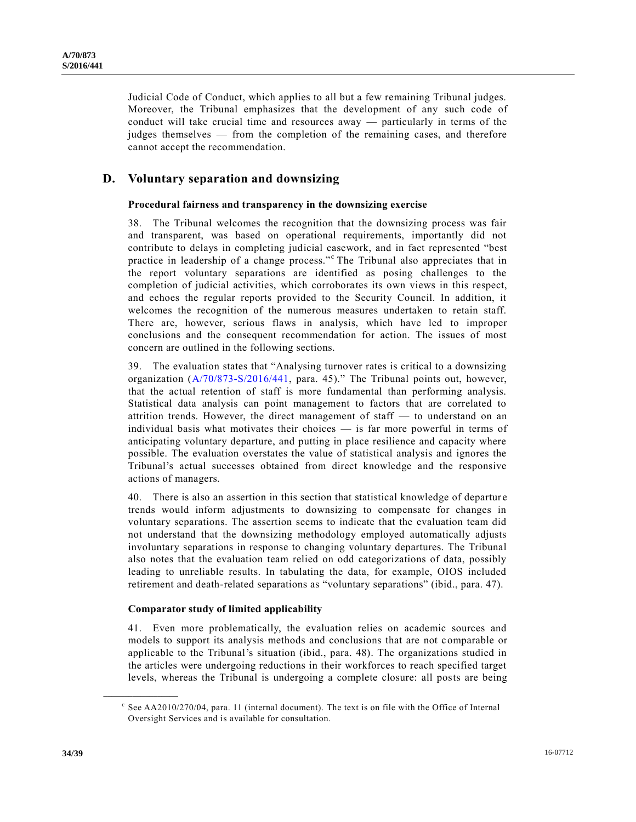Judicial Code of Conduct, which applies to all but a few remaining Tribunal judges. Moreover, the Tribunal emphasizes that the development of any such code of conduct will take crucial time and resources away — particularly in terms of the judges themselves — from the completion of the remaining cases, and therefore cannot accept the recommendation.

## **D. Voluntary separation and downsizing**

#### **Procedural fairness and transparency in the downsizing exercise**

38. The Tribunal welcomes the recognition that the downsizing process was fair and transparent, was based on operational requirements, importantly did not contribute to delays in completing judicial casework, and in fact represented "best practice in leadership of a change process."<sup>c</sup> The Tribunal also appreciates that in the report voluntary separations are identified as posing challenges to the completion of judicial activities, which corroborates its own views in this respect, and echoes the regular reports provided to the Security Council. In addition, it welcomes the recognition of the numerous measures undertaken to retain staff. There are, however, serious flaws in analysis, which have led to improper conclusions and the consequent recommendation for action. The issues of most concern are outlined in the following sections.

39. The evaluation states that "Analysing turnover rates is critical to a downsizing organization [\(A/70/873-S/2016/441,](http://undocs.org/A/70/873) para. 45)." The Tribunal points out, however, that the actual retention of staff is more fundamental than performing analysis. Statistical data analysis can point management to factors that are correlated to attrition trends. However, the direct management of staff — to understand on an individual basis what motivates their choices — is far more powerful in terms of anticipating voluntary departure, and putting in place resilience and capacity where possible. The evaluation overstates the value of statistical analysis and ignores the Tribunal's actual successes obtained from direct knowledge and the responsive actions of managers.

40. There is also an assertion in this section that statistical knowledge of departure trends would inform adjustments to downsizing to compensate for changes in voluntary separations. The assertion seems to indicate that the evaluation team did not understand that the downsizing methodology employed automatically adjusts involuntary separations in response to changing voluntary departures. The Tribunal also notes that the evaluation team relied on odd categorizations of data, possibly leading to unreliable results. In tabulating the data, for example, OIOS included retirement and death-related separations as "voluntary separations" (ibid., para. 47).

#### **Comparator study of limited applicability**

41. Even more problematically, the evaluation relies on academic sources and models to support its analysis methods and conclusions that are not comparable or applicable to the Tribunal's situation (ibid., para. 48). The organizations studied in the articles were undergoing reductions in their workforces to reach specified target levels, whereas the Tribunal is undergoing a complete closure: all posts are being

 $\textdegree$  See AA2010/270/04, para. 11 (internal document). The text is on file with the Office of Internal Oversight Services and is available for consultation.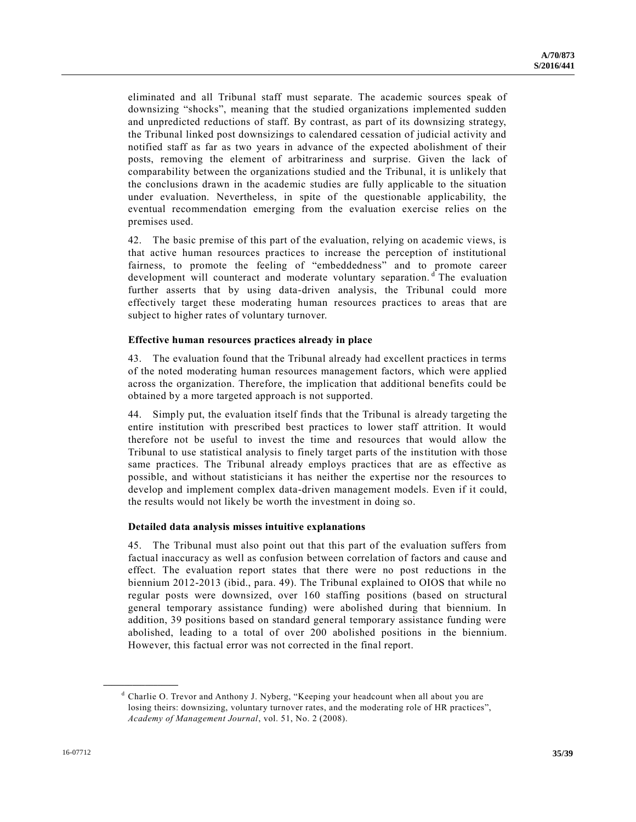eliminated and all Tribunal staff must separate. The academic sources speak of downsizing "shocks", meaning that the studied organizations implemented sudden and unpredicted reductions of staff. By contrast, as part of its downsizing strategy, the Tribunal linked post downsizings to calendared cessation of judicial activity and notified staff as far as two years in advance of the expected abolishment of their posts, removing the element of arbitrariness and surprise. Given the lack of comparability between the organizations studied and the Tribunal, it is unlikely that the conclusions drawn in the academic studies are fully applicable to the situation under evaluation. Nevertheless, in spite of the questionable applicability, the eventual recommendation emerging from the evaluation exercise relies on the premises used.

42. The basic premise of this part of the evaluation, relying on academic views, is that active human resources practices to increase the perception of institutional fairness, to promote the feeling of "embeddedness" and to promote career development will counteract and moderate voluntary separation.<sup>d</sup> The evaluation further asserts that by using data-driven analysis, the Tribunal could more effectively target these moderating human resources practices to areas that are subject to higher rates of voluntary turnover.

#### **Effective human resources practices already in place**

43. The evaluation found that the Tribunal already had excellent practices in terms of the noted moderating human resources management factors, which were applied across the organization. Therefore, the implication that additional benefits could be obtained by a more targeted approach is not supported.

44. Simply put, the evaluation itself finds that the Tribunal is already targeting the entire institution with prescribed best practices to lower staff attrition. It would therefore not be useful to invest the time and resources that would allow the Tribunal to use statistical analysis to finely target parts of the institution with those same practices. The Tribunal already employs practices that are as effective as possible, and without statisticians it has neither the expertise nor the resources to develop and implement complex data-driven management models. Even if it could, the results would not likely be worth the investment in doing so.

#### **Detailed data analysis misses intuitive explanations**

45. The Tribunal must also point out that this part of the evaluation suffers from factual inaccuracy as well as confusion between correlation of factors and cause and effect. The evaluation report states that there were no post reductions in the biennium 2012-2013 (ibid., para. 49). The Tribunal explained to OIOS that while no regular posts were downsized, over 160 staffing positions (based on structural general temporary assistance funding) were abolished during that biennium. In addition, 39 positions based on standard general temporary assistance funding were abolished, leading to a total of over 200 abolished positions in the biennium. However, this factual error was not corrected in the final report.

<sup>&</sup>lt;sup>d</sup> Charlie O. Trevor and Anthony J. Nyberg, "Keeping your headcount when all about you are losing theirs: downsizing, voluntary turnover rates, and the moderating role of HR practices", *Academy of Management Journal*, vol. 51, No. 2 (2008).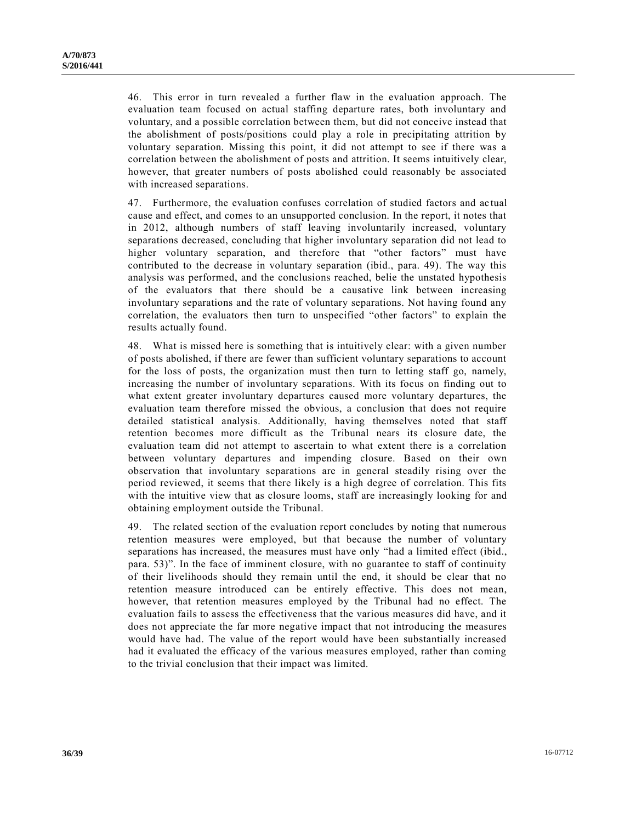46. This error in turn revealed a further flaw in the evaluation approach. The evaluation team focused on actual staffing departure rates, both involuntary and voluntary, and a possible correlation between them, but did not conceive instead that the abolishment of posts/positions could play a role in precipitating attrition by voluntary separation. Missing this point, it did not attempt to see if there was a correlation between the abolishment of posts and attrition. It seems intuitively clear, however, that greater numbers of posts abolished could reasonably be associated with increased separations.

47. Furthermore, the evaluation confuses correlation of studied factors and ac tual cause and effect, and comes to an unsupported conclusion. In the report, it notes that in 2012, although numbers of staff leaving involuntarily increased, voluntary separations decreased, concluding that higher involuntary separation did not lead to higher voluntary separation, and therefore that "other factors" must have contributed to the decrease in voluntary separation (ibid., para. 49). The way this analysis was performed, and the conclusions reached, belie the unstated hypothesis of the evaluators that there should be a causative link between increasing involuntary separations and the rate of voluntary separations. Not having found any correlation, the evaluators then turn to unspecified "other factors" to explain the results actually found.

48. What is missed here is something that is intuitively clear: with a given number of posts abolished, if there are fewer than sufficient voluntary separations to account for the loss of posts, the organization must then turn to letting staff go, namely, increasing the number of involuntary separations. With its focus on finding out to what extent greater involuntary departures caused more voluntary departures, the evaluation team therefore missed the obvious, a conclusion that does not require detailed statistical analysis. Additionally, having themselves noted that staff retention becomes more difficult as the Tribunal nears its closure date, the evaluation team did not attempt to ascertain to what extent there is a correlation between voluntary departures and impending closure. Based on their own observation that involuntary separations are in general steadily rising over the period reviewed, it seems that there likely is a high degree of correlation. This fits with the intuitive view that as closure looms, staff are increasingly looking for and obtaining employment outside the Tribunal.

49. The related section of the evaluation report concludes by noting that numerous retention measures were employed, but that because the number of voluntary separations has increased, the measures must have only "had a limited effect (ibid., para. 53)". In the face of imminent closure, with no guarantee to staff of continuity of their livelihoods should they remain until the end, it should be clear that no retention measure introduced can be entirely effective. This does not mean, however, that retention measures employed by the Tribunal had no effect. The evaluation fails to assess the effectiveness that the various measures did have, and it does not appreciate the far more negative impact that not introducing the measures would have had. The value of the report would have been substantially increased had it evaluated the efficacy of the various measures employed, rather than coming to the trivial conclusion that their impact was limited.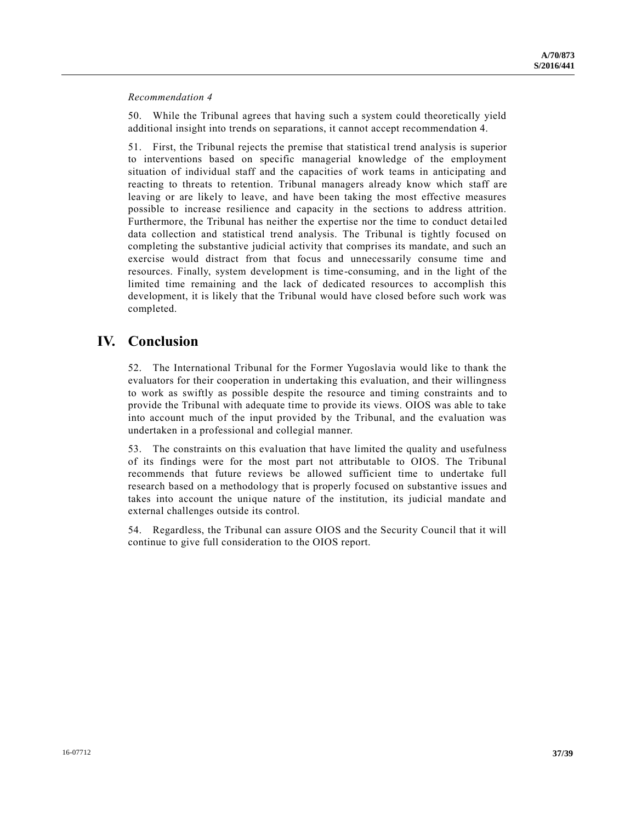*Recommendation 4* 

50. While the Tribunal agrees that having such a system could theoretically yield additional insight into trends on separations, it cannot accept recommendation 4.

51. First, the Tribunal rejects the premise that statistical trend analysis is superior to interventions based on specific managerial knowledge of the employment situation of individual staff and the capacities of work teams in anticipating and reacting to threats to retention. Tribunal managers already know which staff are leaving or are likely to leave, and have been taking the most effective measures possible to increase resilience and capacity in the sections to address attrition. Furthermore, the Tribunal has neither the expertise nor the time to conduct detailed data collection and statistical trend analysis. The Tribunal is tightly focused on completing the substantive judicial activity that comprises its mandate, and such an exercise would distract from that focus and unnecessarily consume time and resources. Finally, system development is time-consuming, and in the light of the limited time remaining and the lack of dedicated resources to accomplish this development, it is likely that the Tribunal would have closed before such work was completed.

# **IV. Conclusion**

52. The International Tribunal for the Former Yugoslavia would like to thank the evaluators for their cooperation in undertaking this evaluation, and their willingness to work as swiftly as possible despite the resource and timing constraints and to provide the Tribunal with adequate time to provide its views. OIOS was able to take into account much of the input provided by the Tribunal, and the evaluation was undertaken in a professional and collegial manner.

53. The constraints on this evaluation that have limited the quality and usefulness of its findings were for the most part not attributable to OIOS. The Tribunal recommends that future reviews be allowed sufficient time to undertake full research based on a methodology that is properly focused on substantive issues and takes into account the unique nature of the institution, its judicial mandate and external challenges outside its control.

54. Regardless, the Tribunal can assure OIOS and the Security Council that it will continue to give full consideration to the OIOS report.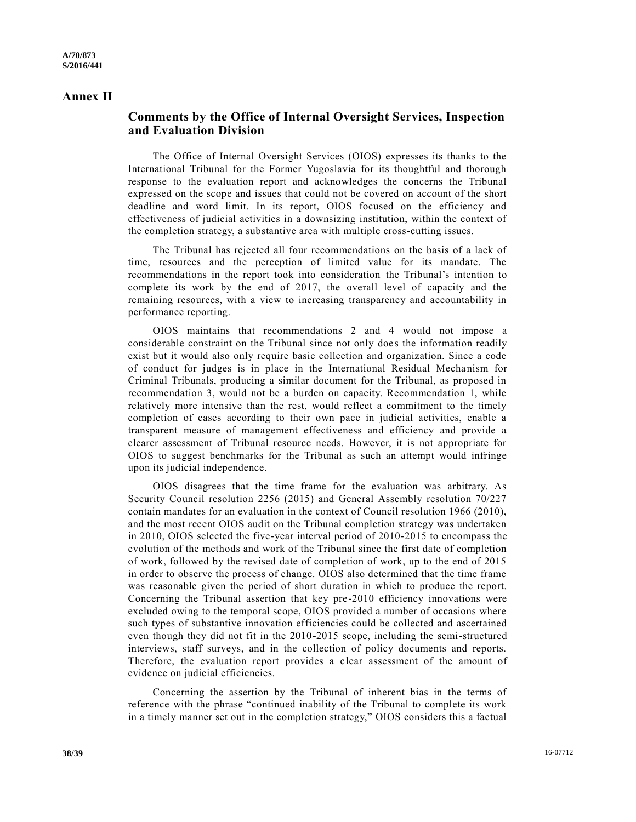## **Annex II**

# **Comments by the Office of Internal Oversight Services, Inspection and Evaluation Division**

The Office of Internal Oversight Services (OIOS) expresses its thanks to the International Tribunal for the Former Yugoslavia for its thoughtful and thorough response to the evaluation report and acknowledges the concerns the Tribunal expressed on the scope and issues that could not be covered on account of the short deadline and word limit. In its report, OIOS focused on the efficiency and effectiveness of judicial activities in a downsizing institution, within the context of the completion strategy, a substantive area with multiple cross-cutting issues.

The Tribunal has rejected all four recommendations on the basis of a lack of time, resources and the perception of limited value for its mandate. The recommendations in the report took into consideration the Tribunal's intention to complete its work by the end of 2017, the overall level of capacity and the remaining resources, with a view to increasing transparency and accountability in performance reporting.

OIOS maintains that recommendations 2 and 4 would not impose a considerable constraint on the Tribunal since not only does the information readily exist but it would also only require basic collection and organization. Since a code of conduct for judges is in place in the International Residual Mechanism for Criminal Tribunals, producing a similar document for the Tribunal, as proposed in recommendation 3, would not be a burden on capacity. Recommendation 1, while relatively more intensive than the rest, would reflect a commitment to the timely completion of cases according to their own pace in judicial activities, enable a transparent measure of management effectiveness and efficiency and provide a clearer assessment of Tribunal resource needs. However, it is not appropriate for OIOS to suggest benchmarks for the Tribunal as such an attempt would infringe upon its judicial independence.

OIOS disagrees that the time frame for the evaluation was arbitrary. As Security Council resolution 2256 (2015) and General Assembly resolution 70/227 contain mandates for an evaluation in the context of Council resolution 1966 (2010), and the most recent OIOS audit on the Tribunal completion strategy was undertaken in 2010, OIOS selected the five-year interval period of 2010-2015 to encompass the evolution of the methods and work of the Tribunal since the first date of completion of work, followed by the revised date of completion of work, up to the end of 2015 in order to observe the process of change. OIOS also determined that the time frame was reasonable given the period of short duration in which to produce the report. Concerning the Tribunal assertion that key pre-2010 efficiency innovations were excluded owing to the temporal scope, OIOS provided a number of occasions where such types of substantive innovation efficiencies could be collected and ascertained even though they did not fit in the 2010-2015 scope, including the semi-structured interviews, staff surveys, and in the collection of policy documents and reports. Therefore, the evaluation report provides a clear assessment of the amount of evidence on judicial efficiencies.

Concerning the assertion by the Tribunal of inherent bias in the terms of reference with the phrase "continued inability of the Tribunal to complete its work in a timely manner set out in the completion strategy," OIOS considers this a factual